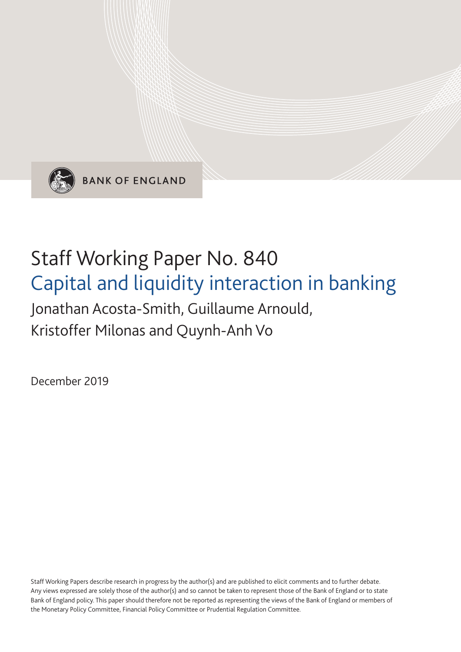

**BANK OF ENGLAND** 

# Staff Working Paper No. 840 Capital and liquidity interaction in banking

## Jonathan Acosta-Smith, Guillaume Arnould, Kristoffer Milonas and Quynh-Anh Vo

December 2019

Staff Working Papers describe research in progress by the author(s) and are published to elicit comments and to further debate. Any views expressed are solely those of the author(s) and so cannot be taken to represent those of the Bank of England or to state Bank of England policy. This paper should therefore not be reported as representing the views of the Bank of England or members of the Monetary Policy Committee, Financial Policy Committee or Prudential Regulation Committee.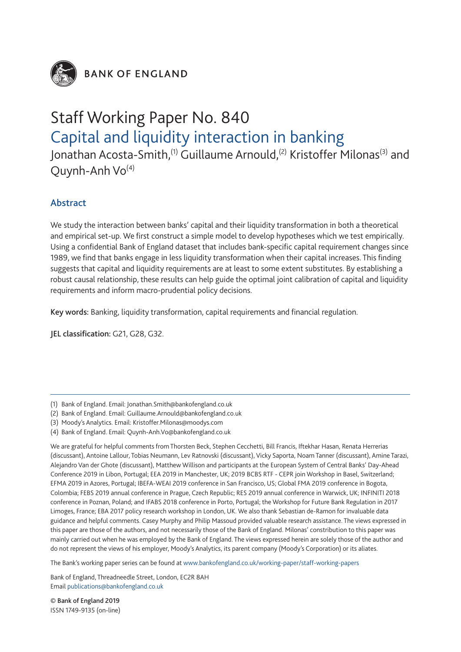

**BANK OF ENGLAND** 

## Staff Working Paper No. 840 Capital and liquidity interaction in banking

Jonathan Acosta-Smith,<sup>(1)</sup> Guillaume Arnould,<sup>(2)</sup> Kristoffer Milonas<sup>(3)</sup> and Quynh-Anh  $Vo^{(4)}$ 

### Abstract

We study the interaction between banks' capital and their liquidity transformation in both a theoretical and empirical set-up. We first construct a simple model to develop hypotheses which we test empirically. Using a confidential Bank of England dataset that includes bank-specific capital requirement changes since 1989, we find that banks engage in less liquidity transformation when their capital increases. This finding suggests that capital and liquidity requirements are at least to some extent substitutes. By establishing a robust causal relationship, these results can help guide the optimal joint calibration of capital and liquidity requirements and inform macro-prudential policy decisions.

Key words: Banking, liquidity transformation, capital requirements and financial regulation.

JEL classification: G21, G28, G32.

- (2) Bank of England. Email: Guillaume.Arnould@bankofengland.co.uk
- (3) Moody's Analytics. Email: Kristoffer.Milonas@moodys.com
- (4) Bank of England. Email: Quynh-Anh.Vo@bankofengland.co.uk

We are grateful for helpful comments from Thorsten Beck, Stephen Cecchetti, Bill Francis, Iftekhar Hasan, Renata Herrerias (discussant), Antoine Lallour, Tobias Neumann, Lev Ratnovski (discussant), Vicky Saporta, Noam Tanner (discussant), Amine Tarazi, Alejandro Van der Ghote (discussant), Matthew Willison and participants at the European System of Central Banks' Day-Ahead Conference 2019 in Libon, Portugal; EEA 2019 in Manchester, UK; 2019 BCBS RTF - CEPR join Workshop in Basel, Switzerland; EFMA 2019 in Azores, Portugal; IBEFA-WEAI 2019 conference in San Francisco, US; Global FMA 2019 conference in Bogota, Colombia; FEBS 2019 annual conference in Prague, Czech Republic; RES 2019 annual conference in Warwick, UK; INFINITI 2018 conference in Poznan, Poland; and IFABS 2018 conference in Porto, Portugal; the Workshop for Future Bank Regulation in 2017 Limoges, France; EBA 2017 policy research workshop in London, UK. We also thank Sebastian de-Ramon for invaluable data guidance and helpful comments. Casey Murphy and Philip Massoud provided valuable research assistance. The views expressed in this paper are those of the authors, and not necessarily those of the Bank of England. Milonas' constribution to this paper was mainly carried out when he was employed by the Bank of England. The views expressed herein are solely those of the author and do not represent the views of his employer, Moody's Analytics, its parent company (Moody's Corporation) or its aliates.

The Bank's working paper series can be found at www.bankofengland.co.uk/working-paper/staff-working-papers

Bank of England, Threadneedle Street, London, EC2R 8AH Email publications@bankofengland.co.uk

© Bank of England 2019 ISSN 1749-9135 (on-line)

<sup>(1)</sup> Bank of England. Email: Jonathan.Smith@bankofengland.co.uk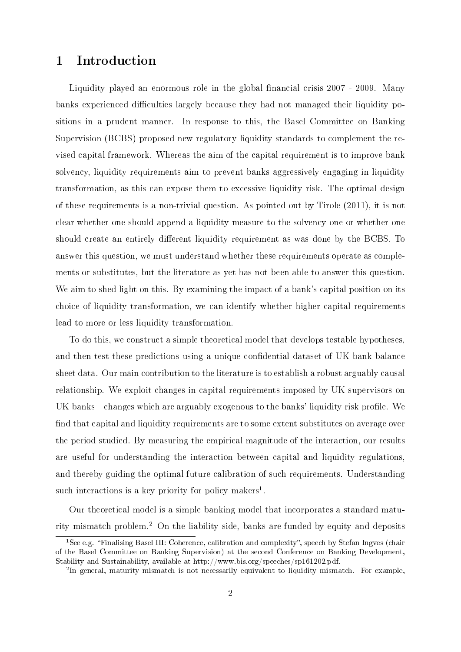## 1 Introduction

Liquidity played an enormous role in the global financial crisis 2007 - 2009. Many banks experienced difficulties largely because they had not managed their liquidity positions in a prudent manner. In response to this, the Basel Committee on Banking Supervision (BCBS) proposed new regulatory liquidity standards to complement the revised capital framework. Whereas the aim of the capital requirement is to improve bank solvency, liquidity requirements aim to prevent banks aggressively engaging in liquidity transformation, as this can expose them to excessive liquidity risk. The optimal design of these requirements is a non-trivial question. As pointed out by Tirole (2011), it is not clear whether one should append a liquidity measure to the solvency one or whether one should create an entirely different liquidity requirement as was done by the BCBS. To answer this question, we must understand whether these requirements operate as complements or substitutes, but the literature as yet has not been able to answer this question. We aim to shed light on this. By examining the impact of a bank's capital position on its choice of liquidity transformation, we can identify whether higher capital requirements lead to more or less liquidity transformation.

To do this, we construct a simple theoretical model that develops testable hypotheses, and then test these predictions using a unique condential dataset of UK bank balance sheet data. Our main contribution to the literature is to establish a robust arguably causal relationship. We exploit changes in capital requirements imposed by UK supervisors on UK banks  $-$  changes which are arguably exogenous to the banks' liquidity risk profile. We find that capital and liquidity requirements are to some extent substitutes on average over the period studied. By measuring the empirical magnitude of the interaction, our results are useful for understanding the interaction between capital and liquidity regulations, and thereby guiding the optimal future calibration of such requirements. Understanding such interactions is a key priority for policy makers<sup>1</sup>.

Our theoretical model is a simple banking model that incorporates a standard maturity mismatch problem.<sup>2</sup> On the liability side, banks are funded by equity and deposits

<sup>&</sup>lt;sup>1</sup>See e.g. "Finalising Basel III: Coherence, calibration and complexity", speech by Stefan Ingves (chair of the Basel Committee on Banking Supervision) at the second Conference on Banking Development, Stability and Sustainability, available at http://www.bis.org/speeches/sp161202.pdf.

<sup>&</sup>lt;sup>2</sup>In general, maturity mismatch is not necessarily equivalent to liquidity mismatch. For example,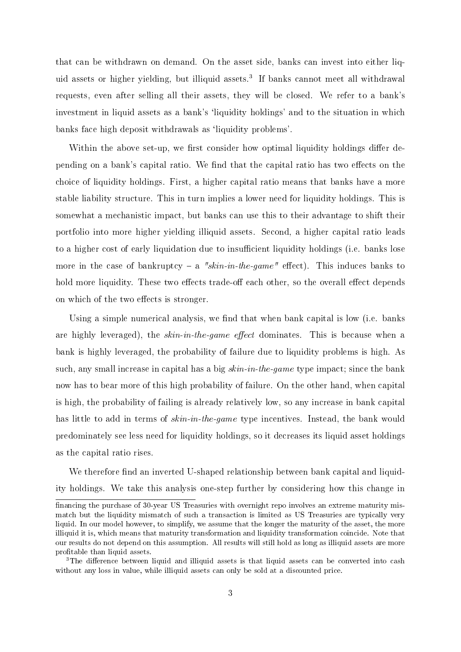that can be withdrawn on demand. On the asset side, banks can invest into either liquid assets or higher yielding, but illiquid assets.<sup>3</sup> If banks cannot meet all withdrawal requests, even after selling all their assets, they will be closed. We refer to a bank's investment in liquid assets as a bank's 'liquidity holdings' and to the situation in which banks face high deposit withdrawals as 'liquidity problems'.

Within the above set-up, we first consider how optimal liquidity holdings differ depending on a bank's capital ratio. We find that the capital ratio has two effects on the choice of liquidity holdings. First, a higher capital ratio means that banks have a more stable liability structure. This in turn implies a lower need for liquidity holdings. This is somewhat a mechanistic impact, but banks can use this to their advantage to shift their portfolio into more higher yielding illiquid assets. Second, a higher capital ratio leads to a higher cost of early liquidation due to insufficient liquidity holdings (i.e. banks lose more in the case of bankruptcy – a "skin-in-the-game" effect). This induces banks to hold more liquidity. These two effects trade-off each other, so the overall effect depends on which of the two effects is stronger.

Using a simple numerical analysis, we find that when bank capital is low (i.e. banks are highly leveraged), the  $skin\text{-}in\text{-}the\text{-}game$  effect dominates. This is because when a bank is highly leveraged, the probability of failure due to liquidity problems is high. As such, any small increase in capital has a big  $skin\text{-}in\text{-}the\text{-}game$  type impact; since the bank now has to bear more of this high probability of failure. On the other hand, when capital is high, the probability of failing is already relatively low, so any increase in bank capital has little to add in terms of *skin-in-the-game* type incentives. Instead, the bank would predominately see less need for liquidity holdings, so it decreases its liquid asset holdings as the capital ratio rises.

We therefore find an inverted U-shaped relationship between bank capital and liquidity holdings. We take this analysis one-step further by considering how this change in

financing the purchase of 30-year US Treasuries with overnight repo involves an extreme maturity mismatch but the liquidity mismatch of such a transaction is limited as US Treasuries are typically very liquid. In our model however, to simplify, we assume that the longer the maturity of the asset, the more illiquid it is, which means that maturity transformation and liquidity transformation coincide. Note that our results do not depend on this assumption. All results will still hold as long as illiquid assets are more profitable than liquid assets.

 $3$ The difference between liquid and illiquid assets is that liquid assets can be converted into cash without any loss in value, while illiquid assets can only be sold at a discounted price.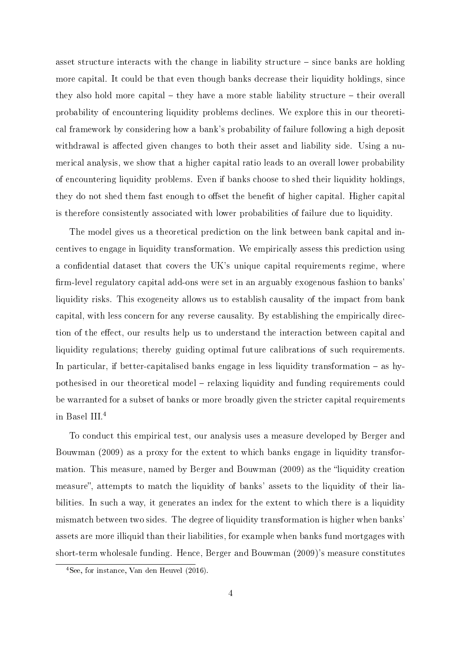asset structure interacts with the change in liability structure  $-$  since banks are holding more capital. It could be that even though banks decrease their liquidity holdings, since they also hold more capital  $-$  they have a more stable liability structure  $-$  their overall probability of encountering liquidity problems declines. We explore this in our theoretical framework by considering how a bank's probability of failure following a high deposit withdrawal is affected given changes to both their asset and liability side. Using a numerical analysis, we show that a higher capital ratio leads to an overall lower probability of encountering liquidity problems. Even if banks choose to shed their liquidity holdings, they do not shed them fast enough to offset the benefit of higher capital. Higher capital is therefore consistently associated with lower probabilities of failure due to liquidity.

The model gives us a theoretical prediction on the link between bank capital and incentives to engage in liquidity transformation. We empirically assess this prediction using a confidential dataset that covers the UK's unique capital requirements regime, where firm-level regulatory capital add-ons were set in an arguably exogenous fashion to banks' liquidity risks. This exogeneity allows us to establish causality of the impact from bank capital, with less concern for any reverse causality. By establishing the empirically direction of the effect, our results help us to understand the interaction between capital and liquidity regulations; thereby guiding optimal future calibrations of such requirements. In particular, if better-capitalised banks engage in less liquidity transformation  $-$  as hypothesised in our theoretical model - relaxing liquidity and funding requirements could be warranted for a subset of banks or more broadly given the stricter capital requirements in Basel III.<sup>4</sup>

To conduct this empirical test, our analysis uses a measure developed by Berger and Bouwman (2009) as a proxy for the extent to which banks engage in liquidity transformation. This measure, named by Berger and Bouwman (2009) as the "liquidity creation measure", attempts to match the liquidity of banks' assets to the liquidity of their liabilities. In such a way, it generates an index for the extent to which there is a liquidity mismatch between two sides. The degree of liquidity transformation is higher when banks' assets are more illiquid than their liabilities, for example when banks fund mortgages with short-term wholesale funding. Hence, Berger and Bouwman (2009)'s measure constitutes

<sup>4</sup>See, for instance, Van den Heuvel (2016).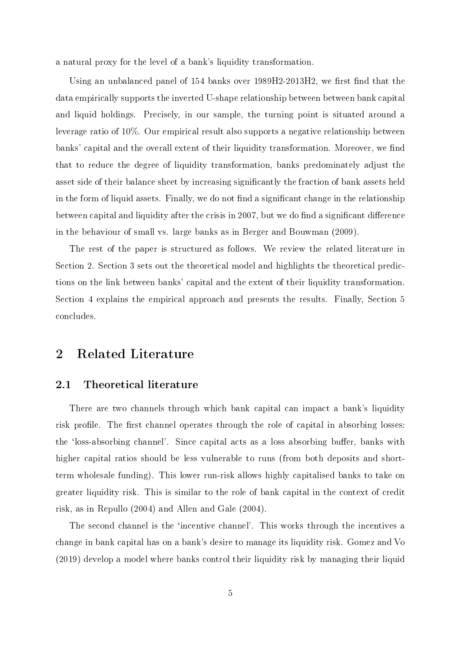a natural proxy for the level of a bank's liquidity transformation.

Using an unbalanced panel of 154 banks over 1989H2-2013H2, we first find that the data empirically supports the inverted U-shape relationship between between bank capital and liquid holdings. Precisely, in our sample, the turning point is situated around a leverage ratio of 10%. Our empirical result also supports a negative relationship between banks' capital and the overall extent of their liquidity transformation. Moreover, we find that to reduce the degree of liquidity transformation, banks predominately adjust the asset side of their balance sheet by increasing signicantly the fraction of bank assets held in the form of liquid assets. Finally, we do not find a significant change in the relationship between capital and liquidity after the crisis in 2007, but we do find a significant difference in the behaviour of small vs. large banks as in Berger and Bouwman (2009).

The rest of the paper is structured as follows. We review the related literature in Section 2. Section 3 sets out the theoretical model and highlights the theoretical predictions on the link between banks' capital and the extent of their liquidity transformation. Section 4 explains the empirical approach and presents the results. Finally, Section 5 concludes.

## 2 Related Literature

#### 2.1 Theoretical literature

There are two channels through which bank capital can impact a bank's liquidity risk profile. The first channel operates through the role of capital in absorbing losses: the 'loss-absorbing channel'. Since capital acts as a loss absorbing buffer, banks with higher capital ratios should be less vulnerable to runs (from both deposits and shortterm wholesale funding). This lower run-risk allows highly capitalised banks to take on greater liquidity risk. This is similar to the role of bank capital in the context of credit risk, as in Repullo (2004) and Allen and Gale (2004).

The second channel is the 'incentive channel'. This works through the incentives a change in bank capital has on a bank's desire to manage its liquidity risk. Gomez and Vo (2019) develop a model where banks control their liquidity risk by managing their liquid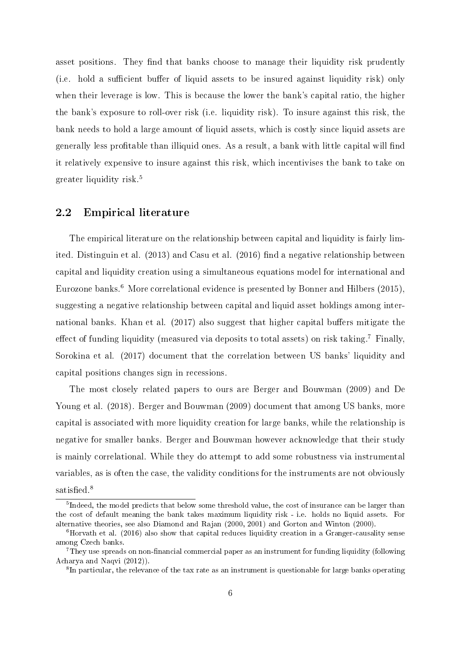asset positions. They find that banks choose to manage their liquidity risk prudently (i.e. hold a sufficient buffer of liquid assets to be insured against liquidity risk) only when their leverage is low. This is because the lower the bank's capital ratio, the higher the bank's exposure to roll-over risk (i.e. liquidity risk). To insure against this risk, the bank needs to hold a large amount of liquid assets, which is costly since liquid assets are generally less profitable than illiquid ones. As a result, a bank with little capital will find it relatively expensive to insure against this risk, which incentivises the bank to take on greater liquidity risk.<sup>5</sup>

#### 2.2 Empirical literature

The empirical literature on the relationship between capital and liquidity is fairly limited. Distinguin et al. (2013) and Casu et al. (2016) find a negative relationship between capital and liquidity creation using a simultaneous equations model for international and Eurozone banks.<sup>6</sup> More correlational evidence is presented by Bonner and Hilbers (2015), suggesting a negative relationship between capital and liquid asset holdings among international banks. Khan et al. (2017) also suggest that higher capital buffers mitigate the effect of funding liquidity (measured via deposits to total assets) on risk taking.<sup>7</sup> Finally, Sorokina et al. (2017) document that the correlation between US banks' liquidity and capital positions changes sign in recessions.

The most closely related papers to ours are Berger and Bouwman (2009) and De Young et al. (2018). Berger and Bouwman (2009) document that among US banks, more capital is associated with more liquidity creation for large banks, while the relationship is negative for smaller banks. Berger and Bouwman however acknowledge that their study is mainly correlational. While they do attempt to add some robustness via instrumental variables, as is often the case, the validity conditions for the instruments are not obviously satisfied. $8$ 

<sup>&</sup>lt;sup>5</sup>Indeed, the model predicts that below some threshold value, the cost of insurance can be larger than the cost of default meaning the bank takes maximum liquidity risk - i.e. holds no liquid assets. For alternative theories, see also Diamond and Rajan (2000, 2001) and Gorton and Winton (2000).

 $6$ Horvath et al. (2016) also show that capital reduces liquidity creation in a Granger-causality sense among Czech banks.

 $7$ They use spreads on non-financial commercial paper as an instrument for funding liquidity (following Acharya and Naqvi (2012)).

 ${}^{8}$ In particular, the relevance of the tax rate as an instrument is questionable for large banks operating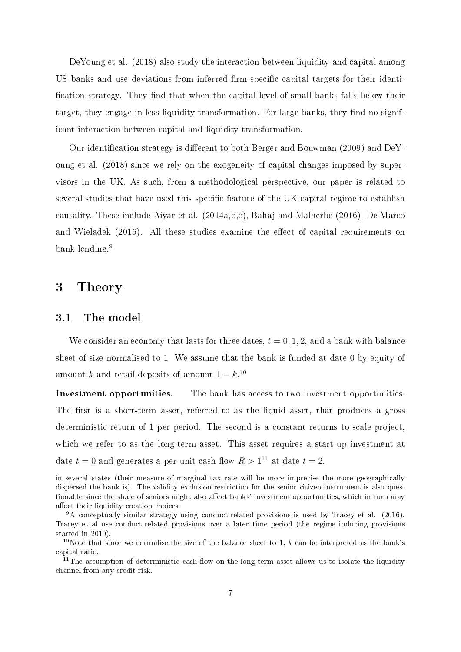DeYoung et al. (2018) also study the interaction between liquidity and capital among US banks and use deviations from inferred firm-specific capital targets for their identification strategy. They find that when the capital level of small banks falls below their target, they engage in less liquidity transformation. For large banks, they find no significant interaction between capital and liquidity transformation.

Our identification strategy is different to both Berger and Bouwman (2009) and DeYoung et al. (2018) since we rely on the exogeneity of capital changes imposed by supervisors in the UK. As such, from a methodological perspective, our paper is related to several studies that have used this specific feature of the UK capital regime to establish causality. These include Aiyar et al. (2014a,b,c), Bahaj and Malherbe (2016), De Marco and Wieladek  $(2016)$ . All these studies examine the effect of capital requirements on bank lending.<sup>9</sup>

## 3 Theory

#### 3.1 The model

We consider an economy that lasts for three dates,  $t = 0, 1, 2$ , and a bank with balance sheet of size normalised to 1. We assume that the bank is funded at date 0 by equity of amount k and retail deposits of amount  $1 - k$ .<sup>10</sup>

Investment opportunities. The bank has access to two investment opportunities. The first is a short-term asset, referred to as the liquid asset, that produces a gross deterministic return of 1 per period. The second is a constant returns to scale project, which we refer to as the long-term asset. This asset requires a start-up investment at date  $t = 0$  and generates a per unit cash flow  $R > 1^{11}$  at date  $t = 2$ .

in several states (their measure of marginal tax rate will be more imprecise the more geographically dispersed the bank is). The validity exclusion restriction for the senior citizen instrument is also questionable since the share of seniors might also affect banks' investment opportunities, which in turn may affect their liquidity creation choices.

<sup>9</sup>A conceptually similar strategy using conduct-related provisions is used by Tracey et al. (2016). Tracey et al use conduct-related provisions over a later time period (the regime inducing provisions started in 2010).

<sup>&</sup>lt;sup>10</sup>Note that since we normalise the size of the balance sheet to 1,  $k$  can be interpreted as the bank's capital ratio.

<sup>&</sup>lt;sup>11</sup>The assumption of deterministic cash flow on the long-term asset allows us to isolate the liquidity channel from any credit risk.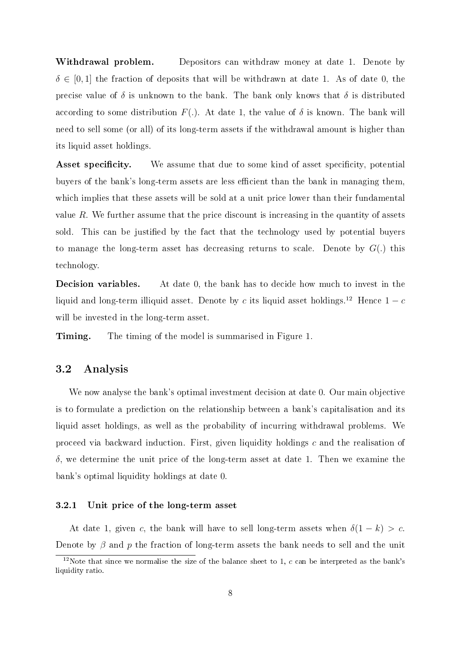**Withdrawal problem.** Depositors can withdraw money at date 1. Denote by  $\delta \in [0,1]$  the fraction of deposits that will be withdrawn at date 1. As of date 0, the precise value of  $\delta$  is unknown to the bank. The bank only knows that  $\delta$  is distributed according to some distribution  $F(.)$ . At date 1, the value of  $\delta$  is known. The bank will need to sell some (or all) of its long-term assets if the withdrawal amount is higher than its liquid asset holdings.

**Asset specificity.** We assume that due to some kind of asset specificity, potential buyers of the bank's long-term assets are less efficient than the bank in managing them, which implies that these assets will be sold at a unit price lower than their fundamental value  $R$ . We further assume that the price discount is increasing in the quantity of assets sold. This can be justified by the fact that the technology used by potential buyers to manage the long-term asset has decreasing returns to scale. Denote by  $G(.)$  this technology.

Decision variables. At date 0, the bank has to decide how much to invest in the liquid and long-term illiquid asset. Denote by c its liquid asset holdings.<sup>12</sup> Hence  $1 - c$ will be invested in the long-term asset.

**Timing.** The timing of the model is summarised in Figure 1.

#### 3.2 Analysis

We now analyse the bank's optimal investment decision at date 0. Our main objective is to formulate a prediction on the relationship between a bank's capitalisation and its liquid asset holdings, as well as the probability of incurring withdrawal problems. We proceed via backward induction. First, given liquidity holdings c and the realisation of  $\delta$ , we determine the unit price of the long-term asset at date 1. Then we examine the bank's optimal liquidity holdings at date 0.

#### 3.2.1 Unit price of the long-term asset

At date 1, given c, the bank will have to sell long-term assets when  $\delta(1-k) > c$ . Denote by  $\beta$  and p the fraction of long-term assets the bank needs to sell and the unit

<sup>&</sup>lt;sup>12</sup>Note that since we normalise the size of the balance sheet to 1, c can be interpreted as the bank's liquidity ratio.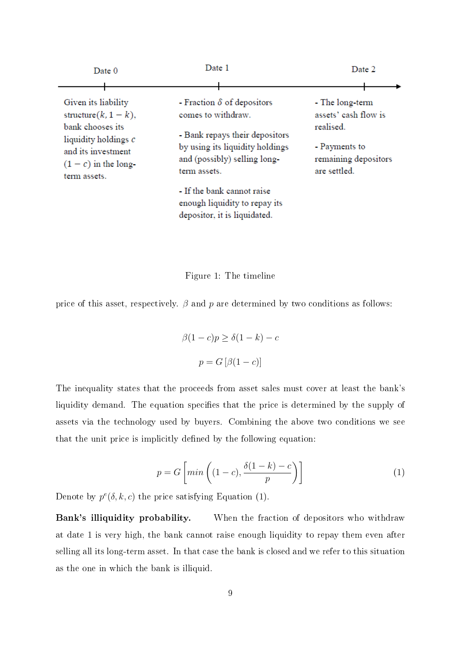| Date 0                                                                                                                                                         | Date 1                                                                                                                                                                       | Date 2                                                                                                        |
|----------------------------------------------------------------------------------------------------------------------------------------------------------------|------------------------------------------------------------------------------------------------------------------------------------------------------------------------------|---------------------------------------------------------------------------------------------------------------|
| Given its liability<br>structure( $k$ , $1 - k$ ),<br>bank chooses its<br>liquidity holdings c<br>and its investment<br>$(1 - c)$ in the long-<br>term assets. | - Fraction $\delta$ of depositors<br>comes to withdraw.<br>- Bank repays their depositors<br>by using its liquidity holdings<br>and (possibly) selling long-<br>term assets. | - The long-term<br>assets' cash flow is<br>realised.<br>- Payments to<br>remaining depositors<br>are settled. |
|                                                                                                                                                                | - If the bank cannot raise<br>enough liquidity to repay its<br>depositor, it is liquidated.                                                                                  |                                                                                                               |

Figure 1: The timeline

price of this asset, respectively.  $\beta$  and  $p$  are determined by two conditions as follows:

$$
\beta(1-c)p \ge \delta(1-k) - c
$$

$$
p = G[\beta(1-c)]
$$

The inequality states that the proceeds from asset sales must cover at least the bank's liquidity demand. The equation specifies that the price is determined by the supply of assets via the technology used by buyers. Combining the above two conditions we see that the unit price is implicitly defined by the following equation:

$$
p = G\left[\min\left((1-c), \frac{\delta(1-k)-c}{p}\right)\right] \tag{1}
$$

Denote by  $p^{e}(\delta, k, c)$  the price satisfying Equation (1).

Bank's illiquidity probability. When the fraction of depositors who withdraw at date 1 is very high, the bank cannot raise enough liquidity to repay them even after selling all its long-term asset. In that case the bank is closed and we refer to this situation as the one in which the bank is illiquid.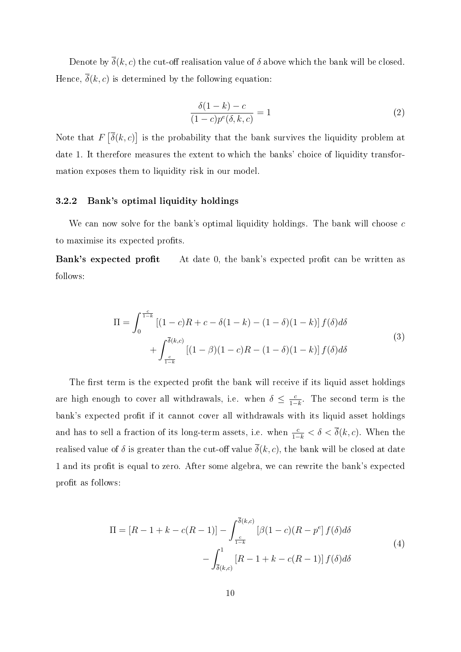Denote by  $\overline{\delta}(k, c)$  the cut-off realisation value of  $\delta$  above which the bank will be closed. Hence,  $\overline{\delta}(k, c)$  is determined by the following equation:

$$
\frac{\delta(1-k)-c}{(1-c)p^e(\delta,k,c)} = 1\tag{2}
$$

Note that  $F\left[\overline{\delta}(k,c)\right]$  is the probability that the bank survives the liquidity problem at date 1. It therefore measures the extent to which the banks' choice of liquidity transformation exposes them to liquidity risk in our model.

#### 3.2.2 Bank's optimal liquidity holdings

We can now solve for the bank's optimal liquidity holdings. The bank will choose c to maximise its expected profits.

Bank's expected profit At date 0, the bank's expected profit can be written as follows:

$$
\Pi = \int_0^{\frac{c}{1-k}} \left[ (1-c)R + c - \delta(1-k) - (1-\delta)(1-k) \right] f(\delta) d\delta
$$

$$
+ \int_{\frac{c}{1-k}}^{\bar{\delta}(k,c)} \left[ (1-\beta)(1-c)R - (1-\delta)(1-k) \right] f(\delta) d\delta
$$

$$
(3)
$$

The first term is the expected profit the bank will receive if its liquid asset holdings are high enough to cover all withdrawals, i.e. when  $\delta \leq \frac{c}{1-\epsilon}$  $\frac{c}{1-k}$ . The second term is the bank's expected profit if it cannot cover all withdrawals with its liquid asset holdings and has to sell a fraction of its long-term assets, i.e. when  $\frac{c}{1-k} < \delta < \overline{\delta}(k, c)$ . When the realised value of  $\delta$  is greater than the cut-off value  $\overline{\delta}(k, c)$ , the bank will be closed at date 1 and its profit is equal to zero. After some algebra, we can rewrite the bank's expected profit as follows:

$$
\Pi = [R - 1 + k - c(R - 1)] - \int_{\frac{c}{1-k}}^{\overline{\delta}(k,c)} \left[\beta(1-c)(R - p^e\right] f(\delta) d\delta
$$

$$
- \int_{\overline{\delta}(k,c)}^1 \left[R - 1 + k - c(R - 1)\right] f(\delta) d\delta
$$
\n(4)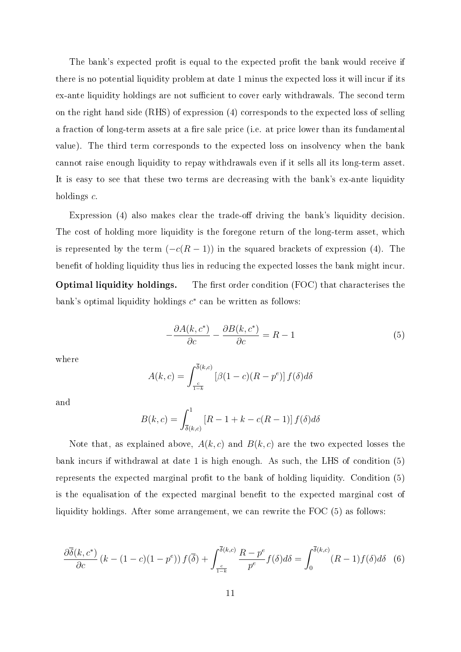The bank's expected profit is equal to the expected profit the bank would receive if there is no potential liquidity problem at date 1 minus the expected loss it will incur if its ex-ante liquidity holdings are not sufficient to cover early withdrawals. The second term on the right hand side (RHS) of expression (4) corresponds to the expected loss of selling a fraction of long-term assets at a fire sale price (i.e. at price lower than its fundamental value). The third term corresponds to the expected loss on insolvency when the bank cannot raise enough liquidity to repay withdrawals even if it sells all its long-term asset. It is easy to see that these two terms are decreasing with the bank's ex-ante liquidity holdings  $c$ .

Expression  $(4)$  also makes clear the trade-off driving the bank's liquidity decision. The cost of holding more liquidity is the foregone return of the long-term asset, which is represented by the term  $(-c(R - 1))$  in the squared brackets of expression (4). The benefit of holding liquidity thus lies in reducing the expected losses the bank might incur. Optimal liquidity holdings. The first order condition (FOC) that characterises the bank's optimal liquidity holdings  $c^*$  can be written as follows:

$$
-\frac{\partial A(k, c^*)}{\partial c} - \frac{\partial B(k, c^*)}{\partial c} = R - 1\tag{5}
$$

where

$$
A(k,c) = \int_{\frac{c}{1-k}}^{\overline{\delta}(k,c)} \left[\beta(1-c)(R-p^e)\right] f(\delta) d\delta
$$

and

$$
B(k,c) = \int_{\bar{\delta}(k,c)}^1 [R - 1 + k - c(R - 1)] f(\delta) d\delta
$$

Note that, as explained above,  $A(k, c)$  and  $B(k, c)$  are the two expected losses the bank incurs if withdrawal at date 1 is high enough. As such, the LHS of condition (5) represents the expected marginal profit to the bank of holding liquidity. Condition  $(5)$ is the equalisation of the expected marginal benefit to the expected marginal cost of liquidity holdings. After some arrangement, we can rewrite the FOC (5) as follows:

$$
\frac{\partial \overline{\delta}(k, c^*)}{\partial c} \left( k - (1 - c)(1 - p^e) \right) f(\overline{\delta}) + \int_{\frac{c}{1 - k}}^{\overline{\delta}(k, c)} \frac{R - p^e}{p^e} f(\delta) d\delta = \int_0^{\overline{\delta}(k, c)} (R - 1) f(\delta) d\delta \quad (6)
$$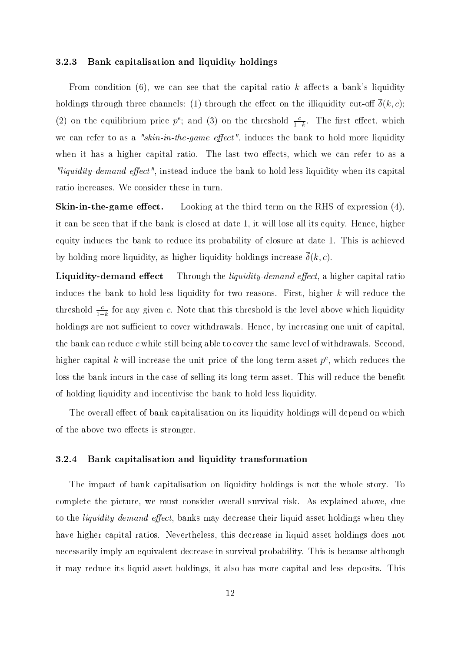#### 3.2.3 Bank capitalisation and liquidity holdings

From condition  $(6)$ , we can see that the capital ratio k affects a bank's liquidity holdings through three channels: (1) through the effect on the illiquidity cut-off  $\overline{\delta}(k, c)$ ; (2) on the equilibrium price  $p^e$ ; and (3) on the threshold  $\frac{c}{1-k}$ . The first effect, which we can refer to as a "skin-in-the-game effect", induces the bank to hold more liquidity when it has a higher capital ratio. The last two effects, which we can refer to as a *"liquidity-demand effect"*, instead induce the bank to hold less liquidity when its capital ratio increases. We consider these in turn.

**Skin-in-the-game effect.** Looking at the third term on the RHS of expression  $(4)$ , it can be seen that if the bank is closed at date 1, it will lose all its equity. Hence, higher equity induces the bank to reduce its probability of closure at date 1. This is achieved by holding more liquidity, as higher liquidity holdings increase  $\delta(k, c)$ .

**Liquidity-demand effect** Through the *liquidity-demand effect*, a higher capital ratio induces the bank to hold less liquidity for two reasons. First, higher  $k$  will reduce the threshold  $\frac{c}{1-k}$  for any given c. Note that this threshold is the level above which liquidity holdings are not sufficient to cover withdrawals. Hence, by increasing one unit of capital, the bank can reduce  $c$  while still being able to cover the same level of withdrawals. Second, higher capital k will increase the unit price of the long-term asset  $p^e$ , which reduces the loss the bank incurs in the case of selling its long-term asset. This will reduce the benefit of holding liquidity and incentivise the bank to hold less liquidity.

The overall effect of bank capitalisation on its liquidity holdings will depend on which of the above two effects is stronger.

#### 3.2.4 Bank capitalisation and liquidity transformation

The impact of bank capitalisation on liquidity holdings is not the whole story. To complete the picture, we must consider overall survival risk. As explained above, due to the *liquidity demand effect*, banks may decrease their liquid asset holdings when they have higher capital ratios. Nevertheless, this decrease in liquid asset holdings does not necessarily imply an equivalent decrease in survival probability. This is because although it may reduce its liquid asset holdings, it also has more capital and less deposits. This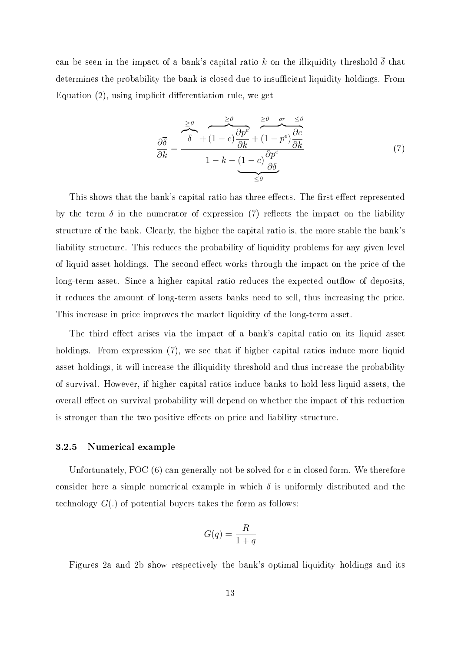can be seen in the impact of a bank's capital ratio k on the illiquidity threshold  $\overline{\delta}$  that determines the probability the bank is closed due to insufficient liquidity holdings. From Equation  $(2)$ , using implicit differentiation rule, we get

$$
\frac{\partial \overline{\delta}}{\partial k} = \frac{\frac{\geq 0}{\delta} + (1 - c)\frac{\partial p^e}{\partial k} + (1 - p^e)\frac{\partial c}{\partial k}}{1 - k - (1 - c)\frac{\partial p^e}{\partial \delta}} \tag{7}
$$

This shows that the bank's capital ratio has three effects. The first effect represented by the term  $\delta$  in the numerator of expression (7) reflects the impact on the liability structure of the bank. Clearly, the higher the capital ratio is, the more stable the bank's liability structure. This reduces the probability of liquidity problems for any given level of liquid asset holdings. The second effect works through the impact on the price of the long-term asset. Since a higher capital ratio reduces the expected outflow of deposits, it reduces the amount of long-term assets banks need to sell, thus increasing the price. This increase in price improves the market liquidity of the long-term asset.

The third effect arises via the impact of a bank's capital ratio on its liquid asset holdings. From expression (7), we see that if higher capital ratios induce more liquid asset holdings, it will increase the illiquidity threshold and thus increase the probability of survival. However, if higher capital ratios induce banks to hold less liquid assets, the overall effect on survival probability will depend on whether the impact of this reduction is stronger than the two positive effects on price and liability structure.

#### 3.2.5 Numerical example

Unfortunately, FOC  $(6)$  can generally not be solved for c in closed form. We therefore consider here a simple numerical example in which  $\delta$  is uniformly distributed and the technology  $G(.)$  of potential buyers takes the form as follows:

$$
G(q) = \frac{R}{1+q}
$$

Figures 2a and 2b show respectively the bank's optimal liquidity holdings and its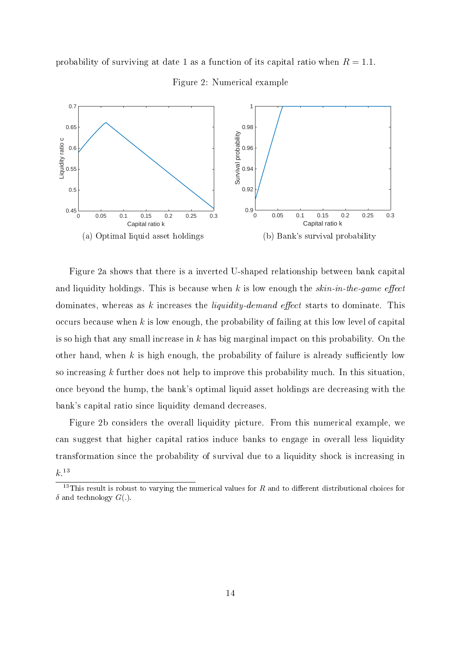

probability of surviving at date 1 as a function of its capital ratio when  $R = 1.1$ .

Figure 2a shows that there is a inverted U-shaped relationship between bank capital and liquidity holdings. This is because when k is low enough the  $skin\text{-}in\text{-}the\text{-}game$  effect dominates, whereas as k increases the *liquidity-demand effect* starts to dominate. This occurs because when  $k$  is low enough, the probability of failing at this low level of capital is so high that any small increase in k has big marginal impact on this probability. On the other hand, when  $k$  is high enough, the probability of failure is already sufficiently low so increasing  $k$  further does not help to improve this probability much. In this situation, once beyond the hump, the bank's optimal liquid asset holdings are decreasing with the bank's capital ratio since liquidity demand decreases.

Figure 2b considers the overall liquidity picture. From this numerical example, we can suggest that higher capital ratios induce banks to engage in overall less liquidity transformation since the probability of survival due to a liquidity shock is increasing in  $k.^{13}$ 

<sup>&</sup>lt;sup>13</sup>This result is robust to varying the numerical values for R and to different distributional choices for  $\delta$  and technology  $G(.)$ .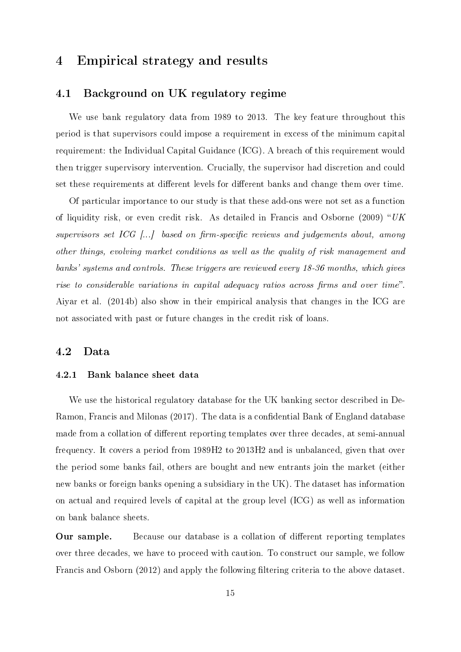## 4 Empirical strategy and results

#### 4.1 Background on UK regulatory regime

We use bank regulatory data from 1989 to 2013. The key feature throughout this period is that supervisors could impose a requirement in excess of the minimum capital requirement: the Individual Capital Guidance (ICG). A breach of this requirement would then trigger supervisory intervention. Crucially, the supervisor had discretion and could set these requirements at different levels for different banks and change them over time.

Of particular importance to our study is that these add-ons were not set as a function of liquidity risk, or even credit risk. As detailed in Francis and Osborne (2009) " $UK$ supervisors set ICG  $\left[ \ldots \right]$  based on firm-specific reviews and judgements about, among other things, evolving market conditions as well as the quality of risk management and banks' systems and controls. These triggers are reviewed every 18-36 months, which gives rise to considerable variations in capital adequacy ratios across firms and over time". Aiyar et al. (2014b) also show in their empirical analysis that changes in the ICG are not associated with past or future changes in the credit risk of loans.

#### 4.2 Data

#### 4.2.1 Bank balance sheet data

We use the historical regulatory database for the UK banking sector described in De-Ramon, Francis and Milonas (2017). The data is a confidential Bank of England database made from a collation of different reporting templates over three decades, at semi-annual frequency. It covers a period from 1989H2 to 2013H2 and is unbalanced, given that over the period some banks fail, others are bought and new entrants join the market (either new banks or foreign banks opening a subsidiary in the UK). The dataset has information on actual and required levels of capital at the group level (ICG) as well as information on bank balance sheets.

**Our sample.** Because our database is a collation of different reporting templates over three decades, we have to proceed with caution. To construct our sample, we follow Francis and Osborn (2012) and apply the following filtering criteria to the above dataset.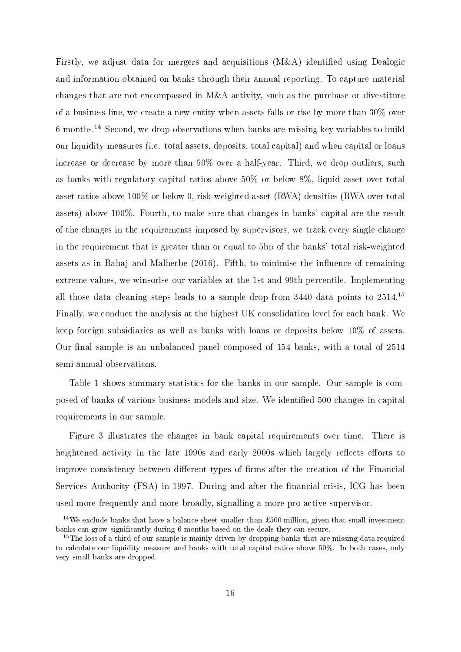Firstly, we adjust data for mergers and acquisitions  $(M&A)$  identified using Dealogic and information obtained on banks through their annual reporting. To capture material changes that are not encompassed in M&A activity, such as the purchase or divestiture of a business line, we create a new entity when assets falls or rise by more than 30% over 6 months.<sup>14</sup> Second, we drop observations when banks are missing key variables to build our liquidity measures (i.e. total assets, deposits, total capital) and when capital or loans increase or decrease by more than 50% over a half-year. Third, we drop outliers, such as banks with regulatory capital ratios above 50% or below 8%, liquid asset over total asset ratios above 100% or below 0, risk-weighted asset (RWA) densities (RWA over total assets) above 100%. Fourth, to make sure that changes in banks' capital are the result of the changes in the requirements imposed by supervisors, we track every single change in the requirement that is greater than or equal to 5bp of the banks' total risk-weighted assets as in Bahaj and Malherbe  $(2016)$ . Fifth, to minimise the influence of remaining extreme values, we winsorise our variables at the 1st and 99th percentile. Implementing all those data cleaning steps leads to a sample drop from 3440 data points to 2514.<sup>15</sup> Finally, we conduct the analysis at the highest UK consolidation level for each bank. We keep foreign subsidiaries as well as banks with loans or deposits below 10% of assets. Our final sample is an unbalanced panel composed of 154 banks, with a total of 2514 semi-annual observations.

Table 1 shows summary statistics for the banks in our sample. Our sample is composed of banks of various business models and size. We identified 500 changes in capital requirements in our sample.

Figure 3 illustrates the changes in bank capital requirements over time. There is heightened activity in the late 1990s and early 2000s which largely reflects efforts to improve consistency between different types of firms after the creation of the Financial Services Authority (FSA) in 1997. During and after the financial crisis, ICG has been used more frequently and more broadly, signalling a more pro-active supervisor.

<sup>&</sup>lt;sup>14</sup>We exclude banks that have a balance sheet smaller than £500 million, given that small investment banks can grow signicantly during 6 months based on the deals they can secure.

<sup>&</sup>lt;sup>15</sup>The loss of a third of our sample is mainly driven by dropping banks that are missing data required to calculate our liquidity measure and banks with total capital ratios above 50%. In both cases, only very small banks are dropped.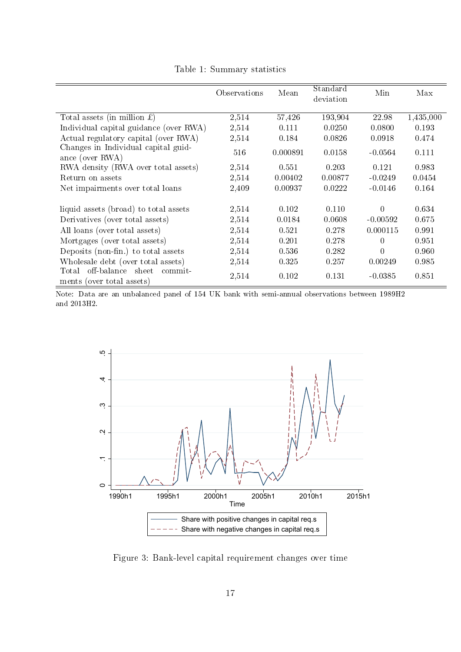|                                                                 | Observations | Mean     | Standard<br>deviation | Min            | Max       |
|-----------------------------------------------------------------|--------------|----------|-----------------------|----------------|-----------|
| Total assets (in million $\pounds$ )                            | 2,514        | 57,426   | 193,904               | 22.98          | 1,435,000 |
| Individual capital guidance (over RWA)                          | 2,514        | 0.111    | 0.0250                | 0.0800         | 0.193     |
| Actual regulatory capital (over RWA)                            | 2,514        | 0.184    | 0.0826                | 0.0918         | 0.474     |
| Changes in Individual capital guid-<br>ance (over RWA)          | 516          | 0.000891 | 0.0158                | $-0.0564$      | 0.111     |
| RWA density (RWA over total assets)                             | 2,514        | 0.551    | 0.203                 | 0.121          | 0.983     |
| Return on assets                                                | 2,514        | 0.00402  | 0.00877               | $-0.0249$      | 0.0454    |
| Net impairments over total loans                                | 2,409        | 0.00937  | 0.0222                | $-0.0146$      | 0.164     |
| liquid assets (broad) to total assets                           | 2,514        | 0.102    | 0.110                 | $\overline{0}$ | 0.634     |
| Derivatives (over total assets)                                 | 2,514        | 0.0184   | 0.0608                | $-0.00592$     | 0.675     |
| All loans (over total assets)                                   | 2,514        | 0.521    | 0.278                 | 0.000115       | 0.991     |
| Mortgages (over total assets)                                   | 2,514        | 0.201    | 0.278                 | 0              | 0.951     |
| Deposits (non-fin.) to total assets                             | 2,514        | 0.536    | 0.282                 | $\theta$       | 0.960     |
| Wholesale debt (over total assets)                              | 2,514        | 0.325    | 0.257                 | 0.00249        | 0.985     |
| Total off-balance sheet<br>commit-<br>ments (over total assets) | 2,514        | 0.102    | 0.131                 | $-0.0385$      | 0.851     |

Table 1: Summary statistics

Note: Data are an unbalanced panel of 154 UK bank with semi-annual observations between 1989H2 and 2013H2.



Figure 3: Bank-level capital requirement changes over time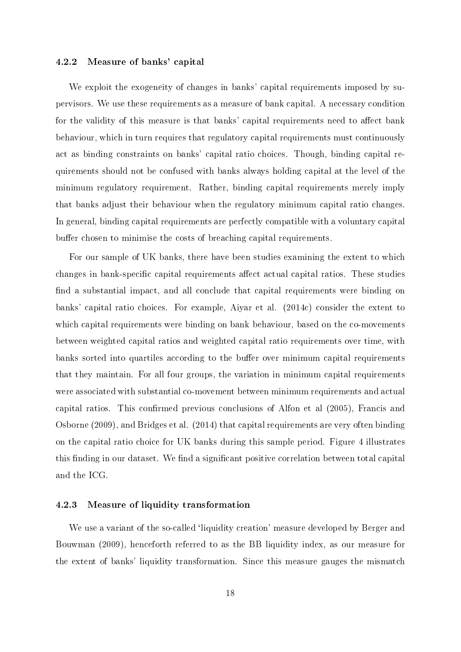#### 4.2.2 Measure of banks' capital

We exploit the exogeneity of changes in banks' capital requirements imposed by supervisors. We use these requirements as a measure of bank capital. A necessary condition for the validity of this measure is that banks' capital requirements need to affect bank behaviour, which in turn requires that regulatory capital requirements must continuously act as binding constraints on banks' capital ratio choices. Though, binding capital requirements should not be confused with banks always holding capital at the level of the minimum regulatory requirement. Rather, binding capital requirements merely imply that banks adjust their behaviour when the regulatory minimum capital ratio changes. In general, binding capital requirements are perfectly compatible with a voluntary capital buffer chosen to minimise the costs of breaching capital requirements.

For our sample of UK banks, there have been studies examining the extent to which changes in bank-specific capital requirements affect actual capital ratios. These studies find a substantial impact, and all conclude that capital requirements were binding on banks' capital ratio choices. For example, Aiyar et al. (2014c) consider the extent to which capital requirements were binding on bank behaviour, based on the co-movements between weighted capital ratios and weighted capital ratio requirements over time, with banks sorted into quartiles according to the buffer over minimum capital requirements that they maintain. For all four groups, the variation in minimum capital requirements were associated with substantial co-movement between minimum requirements and actual capital ratios. This confirmed previous conclusions of Alfon et al  $(2005)$ , Francis and Osborne (2009), and Bridges et al. (2014) that capital requirements are very often binding on the capital ratio choice for UK banks during this sample period. Figure 4 illustrates this finding in our dataset. We find a significant positive correlation between total capital and the ICG.

#### 4.2.3 Measure of liquidity transformation

We use a variant of the so-called 'liquidity creation' measure developed by Berger and Bouwman (2009), henceforth referred to as the BB liquidity index, as our measure for the extent of banks' liquidity transformation. Since this measure gauges the mismatch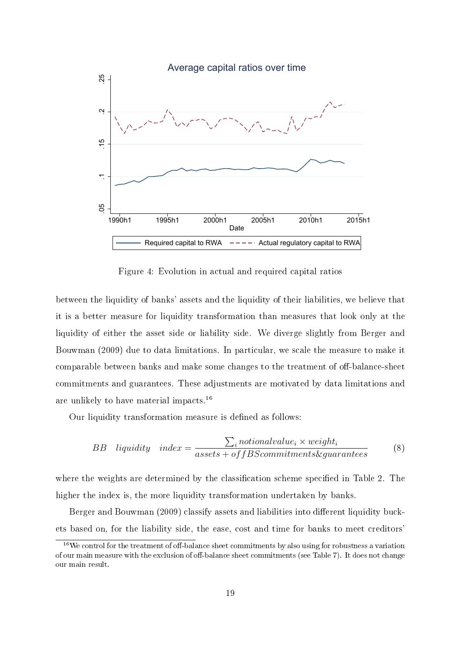

Figure 4: Evolution in actual and required capital ratios

between the liquidity of banks' assets and the liquidity of their liabilities, we believe that it is a better measure for liquidity transformation than measures that look only at the liquidity of either the asset side or liability side. We diverge slightly from Berger and Bouwman (2009) due to data limitations. In particular, we scale the measure to make it comparable between banks and make some changes to the treatment of off-balance-sheet commitments and guarantees. These adjustments are motivated by data limitations and are unlikely to have material impacts.<sup>16</sup>

Our liquidity transformation measure is defined as follows:

$$
BB \quad liquidity \quad index = \frac{\sum_{i}notional value_{i} \times weight_{i}}{asserts + offBScommitments \& guarantees}
$$
 (8)

where the weights are determined by the classification scheme specified in Table 2. The higher the index is, the more liquidity transformation undertaken by banks.

Berger and Bouwman (2009) classify assets and liabilities into different liquidity buckets based on, for the liability side, the ease, cost and time for banks to meet creditors'

 $16$ We control for the treatment of off-balance sheet commitments by also using for robustness a variation of our main measure with the exclusion of off-balance sheet commitments (see Table 7). It does not change our main result.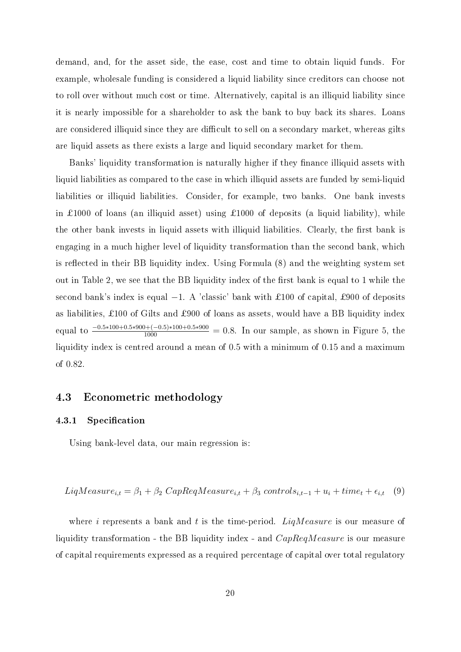demand, and, for the asset side, the ease, cost and time to obtain liquid funds. For example, wholesale funding is considered a liquid liability since creditors can choose not to roll over without much cost or time. Alternatively, capital is an illiquid liability since it is nearly impossible for a shareholder to ask the bank to buy back its shares. Loans are considered illiquid since they are difficult to sell on a secondary market, whereas gilts are liquid assets as there exists a large and liquid secondary market for them.

Banks' liquidity transformation is naturally higher if they finance illiquid assets with liquid liabilities as compared to the case in which illiquid assets are funded by semi-liquid liabilities or illiquid liabilities. Consider, for example, two banks. One bank invests in £1000 of loans (an illiquid asset) using £1000 of deposits (a liquid liability), while the other bank invests in liquid assets with illiquid liabilities. Clearly, the first bank is engaging in a much higher level of liquidity transformation than the second bank, which is reflected in their BB liquidity index. Using Formula (8) and the weighting system set out in Table 2, we see that the BB liquidity index of the first bank is equal to 1 while the second bank's index is equal  $-1$ . A 'classic' bank with £100 of capital, £900 of deposits as liabilities, £100 of Gilts and £900 of loans as assets, would have a BB liquidity index equal to  $\frac{-0.5*100+0.5*900+(-0.5)*100+0.5*900}{1000} = 0.8$ . In our sample, as shown in Figure 5, the liquidity index is centred around a mean of 0.5 with a minimum of 0.15 and a maximum of 0.82.

#### 4.3 Econometric methodology

#### 4.3.1 Specification

Using bank-level data, our main regression is:

$$
LiqMeasure_{i,t} = \beta_1 + \beta_2 \ CapRegMeasure_{i,t} + \beta_3 \ controls_{i,t-1} + u_i + time_t + \epsilon_{i,t} \quad (9)
$$

where i represents a bank and t is the time-period. LiqMeasure is our measure of liquidity transformation - the BB liquidity index - and  $CapReqMeasure$  is our measure of capital requirements expressed as a required percentage of capital over total regulatory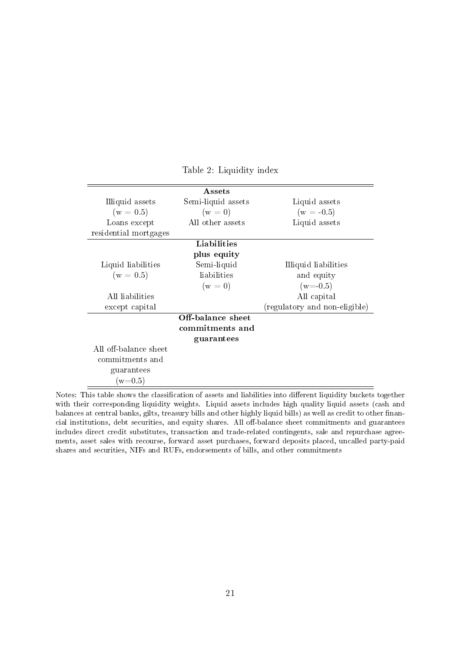|                       | <b>Assets</b>      |                               |
|-----------------------|--------------------|-------------------------------|
| Illiquid assets       | Semi-liquid assets | Liquid assets                 |
| $(w = 0.5)$           | $(w = 0)$          | $(w = -0.5)$                  |
| Loans except          | All other assets   | Liquid assets                 |
| residential mortgages |                    |                               |
|                       | Liabilities        |                               |
|                       | plus equity        |                               |
| Liquid liabilities    | Semi-liquid        | Illiquid liabilities          |
| $(w = 0.5)$           | liabilities        | and equity                    |
|                       | $(w = 0)$          | $(w=0.5)$                     |
| All liabilities       |                    | All capital                   |
| except capital        |                    | (regulatory and non-eligible) |
|                       | Off-balance sheet  |                               |
|                       | commitments and    |                               |
|                       | guarantees         |                               |
| All off-balance sheet |                    |                               |
| commitments and       |                    |                               |
| guarantees            |                    |                               |
| $(w=0.5)$             |                    |                               |

Table 2: Liquidity index

Notes: This table shows the classification of assets and liabilities into different liquidity buckets together with their corresponding liquidity weights. Liquid assets includes high quality liquid assets (cash and balances at central banks, gilts, treasury bills and other highly liquid bills) as well as credit to other financial institutions, debt securities, and equity shares. All off-balance sheet commitments and guarantees includes direct credit substitutes, transaction and trade-related contingents, sale and repurchase agreements, asset sales with recourse, forward asset purchases, forward deposits placed, uncalled party-paid shares and securities, NIFs and RUFs, endorsements of bills, and other commitments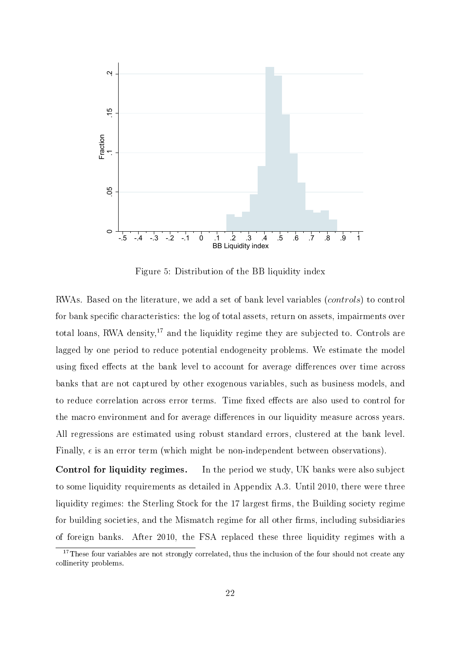

Figure 5: Distribution of the BB liquidity index

RWAs. Based on the literature, we add a set of bank level variables (controls) to control for bank specific characteristics: the log of total assets, return on assets, impairments over total loans, RWA density, $^{17}$  and the liquidity regime they are subjected to. Controls are lagged by one period to reduce potential endogeneity problems. We estimate the model using fixed effects at the bank level to account for average differences over time across banks that are not captured by other exogenous variables, such as business models, and to reduce correlation across error terms. Time fixed effects are also used to control for the macro environment and for average differences in our liquidity measure across years. All regressions are estimated using robust standard errors, clustered at the bank level. Finally,  $\epsilon$  is an error term (which might be non-independent between observations).

Control for liquidity regimes. In the period we study, UK banks were also subject to some liquidity requirements as detailed in Appendix A.3. Until 2010, there were three liquidity regimes: the Sterling Stock for the 17 largest firms, the Building society regime for building societies, and the Mismatch regime for all other firms, including subsidiaries of foreign banks. After 2010, the FSA replaced these three liquidity regimes with a

 $17$ These four variables are not strongly correlated, thus the inclusion of the four should not create any collinerity problems.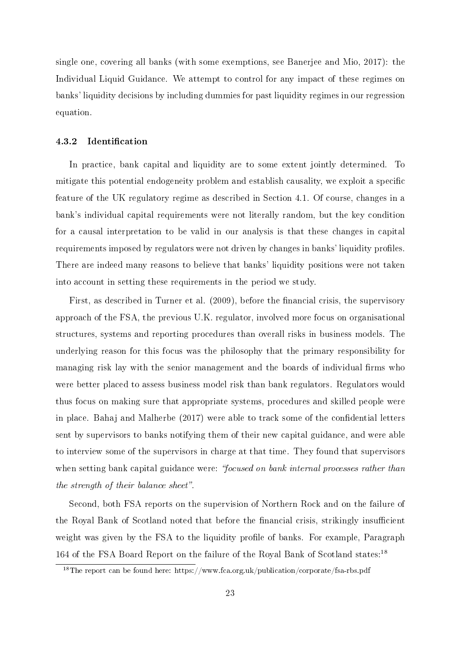single one, covering all banks (with some exemptions, see Banerjee and Mio, 2017): the Individual Liquid Guidance. We attempt to control for any impact of these regimes on banks' liquidity decisions by including dummies for past liquidity regimes in our regression equation.

#### 4.3.2 Identification

In practice, bank capital and liquidity are to some extent jointly determined. To mitigate this potential endogeneity problem and establish causality, we exploit a specific feature of the UK regulatory regime as described in Section 4.1. Of course, changes in a bank's individual capital requirements were not literally random, but the key condition for a causal interpretation to be valid in our analysis is that these changes in capital requirements imposed by regulators were not driven by changes in banks' liquidity profiles. There are indeed many reasons to believe that banks' liquidity positions were not taken into account in setting these requirements in the period we study.

First, as described in Turner et al. (2009), before the financial crisis, the supervisory approach of the FSA, the previous U.K. regulator, involved more focus on organisational structures, systems and reporting procedures than overall risks in business models. The underlying reason for this focus was the philosophy that the primary responsibility for managing risk lay with the senior management and the boards of individual firms who were better placed to assess business model risk than bank regulators. Regulators would thus focus on making sure that appropriate systems, procedures and skilled people were in place. Bahaj and Malherbe (2017) were able to track some of the confidential letters sent by supervisors to banks notifying them of their new capital guidance, and were able to interview some of the supervisors in charge at that time. They found that supervisors when setting bank capital guidance were: "focused on bank internal processes rather than the strength of their balance sheet".

Second, both FSA reports on the supervision of Northern Rock and on the failure of the Royal Bank of Scotland noted that before the financial crisis, strikingly insufficient weight was given by the FSA to the liquidity profile of banks. For example, Paragraph 164 of the FSA Board Report on the failure of the Royal Bank of Scotland states:<sup>18</sup>

<sup>18</sup>The report can be found here: https://www.fca.org.uk/publication/corporate/fsa-rbs.pdf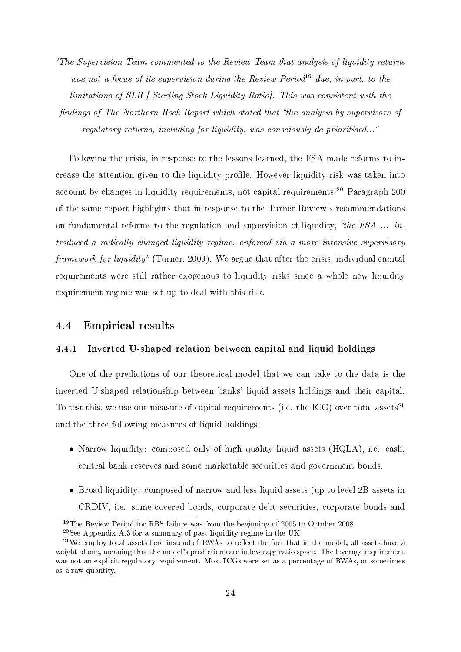'The Supervision Team commented to the Review Team that analysis of liquidity returns was not a focus of its supervision during the Review Period<sup>19</sup> due, in part, to the limitations of SLR | Sterling Stock Liquidity Ratio]. This was consistent with the findings of The Northern Rock Report which stated that "the analysis by supervisors of regulatory returns, including for liquidity, was consciously de-prioritised...

Following the crisis, in response to the lessons learned, the FSA made reforms to increase the attention given to the liquidity profile. However liquidity risk was taken into account by changes in liquidity requirements, not capital requirements.<sup>20</sup> Paragraph 200 of the same report highlights that in response to the Turner Review's recommendations on fundamental reforms to the regulation and supervision of liquidity, "the FSA  $\ldots$  introduced a radically changed liquidity regime, enforced via a more intensive supervisory framework for liquidity" (Turner, 2009). We argue that after the crisis, individual capital requirements were still rather exogenous to liquidity risks since a whole new liquidity requirement regime was set-up to deal with this risk.

#### 4.4 Empirical results

#### 4.4.1 Inverted U-shaped relation between capital and liquid holdings

One of the predictions of our theoretical model that we can take to the data is the inverted U-shaped relationship between banks' liquid assets holdings and their capital. To test this, we use our measure of capital requirements (i.e. the ICG) over total assets<sup>21</sup> and the three following measures of liquid holdings:

- Narrow liquidity: composed only of high quality liquid assets (HQLA), i.e. cash, central bank reserves and some marketable securities and government bonds.
- Broad liquidity: composed of narrow and less liquid assets (up to level 2B assets in CRDIV, i.e. some covered bonds, corporate debt securities, corporate bonds and

<sup>&</sup>lt;sup>19</sup>The Review Period for RBS failure was from the beginning of 2005 to October 2008

 $20$ See Appendix A.3 for a summary of past liquidity regime in the UK

 $^{21}$ We employ total assets here instead of RWAs to reflect the fact that in the model, all assets have a weight of one, meaning that the model's predictions are in leverage ratio space. The leverage requirement was not an explicit regulatory requirement. Most ICGs were set as a percentage of RWAs, or sometimes as a raw quantity.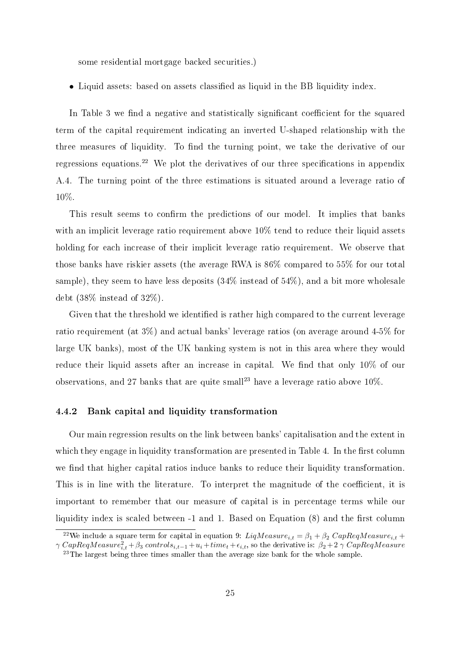some residential mortgage backed securities.)

• Liquid assets: based on assets classified as liquid in the BB liquidity index.

In Table 3 we find a negative and statistically significant coefficient for the squared term of the capital requirement indicating an inverted U-shaped relationship with the three measures of liquidity. To find the turning point, we take the derivative of our regressions equations.<sup>22</sup> We plot the derivatives of our three specifications in appendix A.4. The turning point of the three estimations is situated around a leverage ratio of 10%.

This result seems to confirm the predictions of our model. It implies that banks with an implicit leverage ratio requirement above 10% tend to reduce their liquid assets holding for each increase of their implicit leverage ratio requirement. We observe that those banks have riskier assets (the average RWA is 86% compared to 55% for our total sample), they seem to have less deposits (34% instead of 54%), and a bit more wholesale debt (38% instead of 32%).

Given that the threshold we identified is rather high compared to the current leverage ratio requirement (at 3%) and actual banks' leverage ratios (on average around 4-5% for large UK banks), most of the UK banking system is not in this area where they would reduce their liquid assets after an increase in capital. We find that only  $10\%$  of our observations, and 27 banks that are quite small<sup>23</sup> have a leverage ratio above  $10\%$ .

#### 4.4.2 Bank capital and liquidity transformation

Our main regression results on the link between banks' capitalisation and the extent in which they engage in liquidity transformation are presented in Table 4. In the first column we find that higher capital ratios induce banks to reduce their liquidity transformation. This is in line with the literature. To interpret the magnitude of the coefficient, it is important to remember that our measure of capital is in percentage terms while our liquidity index is scaled between  $-1$  and 1. Based on Equation  $(8)$  and the first column

<sup>&</sup>lt;sup>22</sup>We include a square term for capital in equation 9:  $LiqMeasure_{i,t} = \beta_1 + \beta_2\ CapRegMeasure_{i,t} +$  $\gamma\ CapRegMeasure^2_{i,t}+\beta_3\ controls_{i,t-1}+u_i+time_t+\epsilon_{i,t},$  so the derivative is:  $\beta_2+2$   $\gamma\ CapRegMeasure$ 

<sup>&</sup>lt;sup>23</sup>The largest being three times smaller than the average size bank for the whole sample.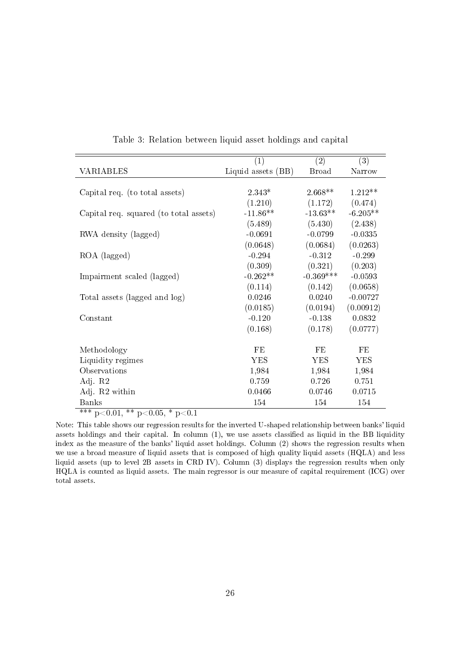|                                        | $\left( 1\right)$  | (2)          | (3)        |
|----------------------------------------|--------------------|--------------|------------|
| VARIABLES                              | Liquid assets (BB) | <b>Broad</b> | Narrow     |
|                                        |                    |              |            |
| Capital req. (to total assets)         | $2.343*$           | $2.668**$    | $1.212**$  |
|                                        | (1.210)            | (1.172)      | (0.474)    |
| Capital req. squared (to total assets) | $-11.86**$         | $-13.63**$   | $-6.205**$ |
|                                        | (5.489)            | (5.430)      | (2.438)    |
| RWA density (lagged)                   | $-0.0691$          | $-0.0799$    | $-0.0335$  |
|                                        | (0.0648)           | (0.0684)     | (0.0263)   |
| ROA (lagged)                           | $-0.294$           | $-0.312$     | $-0.299$   |
|                                        | (0.309)            | (0.321)      | (0.203)    |
| Impairment scaled (lagged)             | $-0.262**$         | $-0.369***$  | $-0.0593$  |
|                                        | (0.114)            | (0.142)      | (0.0658)   |
| Total assets (lagged and log)          | 0.0246             | 0.0240       | $-0.00727$ |
|                                        | (0.0185)           | (0.0194)     | (0.00912)  |
| Constant                               | $-0.120$           | $-0.138$     | 0.0832     |
|                                        | (0.168)            | (0.178)      | (0.0777)   |
|                                        |                    |              |            |
| Methodology                            | FE                 | FE           | FE         |
| Liquidity regimes                      | <b>YES</b>         | <b>YES</b>   | <b>YES</b> |
| Observations                           | 1,984              | 1,984        | 1,984      |
| Adj. R2                                | 0.759              | 0.726        | 0.751      |
| Adj. R2 within                         | 0.0466             | 0.0746       | 0.0715     |
| <b>Banks</b><br>als als.               | 154                | 154          | 154        |

Table 3: Relation between liquid asset holdings and capital

\*\*\* p<0.01, \*\* p<0.05, \* p<0.1

Note: This table shows our regression results for the inverted U-shaped relationship between banks' liquid assets holdings and their capital. In column  $(1)$ , we use assets classified as liquid in the BB liquidity index as the measure of the banks' liquid asset holdings. Column (2) shows the regression results when we use a broad measure of liquid assets that is composed of high quality liquid assets (HQLA) and less liquid assets (up to level 2B assets in CRD IV). Column (3) displays the regression results when only HQLA is counted as liquid assets. The main regressor is our measure of capital requirement (ICG) over total assets.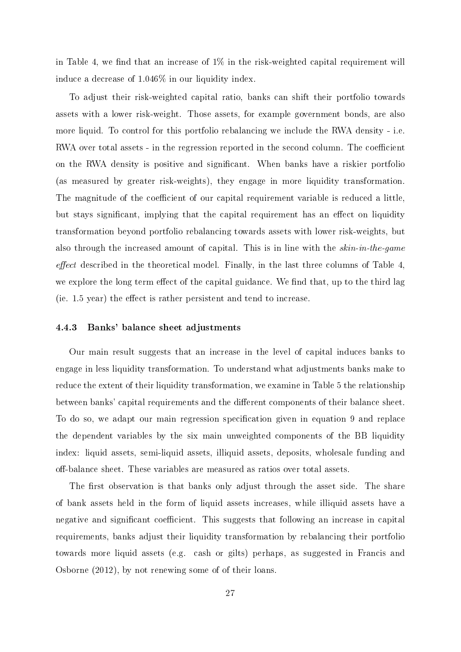in Table 4, we find that an increase of  $1\%$  in the risk-weighted capital requirement will induce a decrease of 1.046% in our liquidity index.

To adjust their risk-weighted capital ratio, banks can shift their portfolio towards assets with a lower risk-weight. Those assets, for example government bonds, are also more liquid. To control for this portfolio rebalancing we include the RWA density - i.e. RWA over total assets - in the regression reported in the second column. The coefficient on the RWA density is positive and significant. When banks have a riskier portfolion (as measured by greater risk-weights), they engage in more liquidity transformation. The magnitude of the coefficient of our capital requirement variable is reduced a little, but stays significant, implying that the capital requirement has an effect on liquidity transformation beyond portfolio rebalancing towards assets with lower risk-weights, but also through the increased amount of capital. This is in line with the *skin-in-the-game effect* described in the theoretical model. Finally, in the last three columns of Table 4, we explore the long term effect of the capital guidance. We find that, up to the third lag  $(ie. 1.5 \text{ year})$  the effect is rather persistent and tend to increase.

#### 4.4.3 Banks' balance sheet adjustments

Our main result suggests that an increase in the level of capital induces banks to engage in less liquidity transformation. To understand what adjustments banks make to reduce the extent of their liquidity transformation, we examine in Table 5 the relationship between banks' capital requirements and the different components of their balance sheet. To do so, we adapt our main regression specification given in equation 9 and replace the dependent variables by the six main unweighted components of the BB liquidity index: liquid assets, semi-liquid assets, illiquid assets, deposits, wholesale funding and off-balance sheet. These variables are measured as ratios over total assets.

The first observation is that banks only adjust through the asset side. The share of bank assets held in the form of liquid assets increases, while illiquid assets have a negative and significant coefficient. This suggests that following an increase in capital requirements, banks adjust their liquidity transformation by rebalancing their portfolio towards more liquid assets (e.g. cash or gilts) perhaps, as suggested in Francis and Osborne (2012), by not renewing some of of their loans.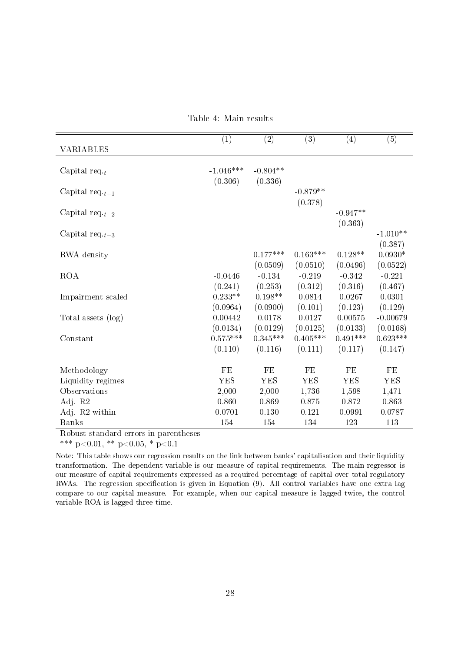|  |  |  | Table 4: Main results |
|--|--|--|-----------------------|
|--|--|--|-----------------------|

|                      | (1)         | (2)        | (3)        | (4)        | (5)        |
|----------------------|-------------|------------|------------|------------|------------|
| VARIABLES            |             |            |            |            |            |
|                      |             |            |            |            |            |
| Capital req $_t$     | $-1.046***$ | $-0.804**$ |            |            |            |
|                      | (0.306)     | (0.336)    |            |            |            |
| Capital req. $t-1$   |             |            | $-0.879**$ |            |            |
|                      |             |            | (0.378)    |            |            |
| Capital req. $t-2$   |             |            |            | $-0.947**$ |            |
|                      |             |            |            | (0.363)    |            |
| Capital req $_{t-3}$ |             |            |            |            | $-1.010**$ |
|                      |             |            |            |            | (0.387)    |
| RWA density          |             | $0.177***$ | $0.163***$ | $0.128**$  | $0.0930*$  |
|                      |             | (0.0509)   | (0.0510)   | (0.0496)   | (0.0522)   |
| <b>ROA</b>           | $-0.0446$   | $-0.134$   | $-0.219$   | $-0.342$   | $-0.221$   |
|                      | (0.241)     | (0.253)    | (0.312)    | (0.316)    | (0.467)    |
| Impairment scaled    | $0.233**$   | $0.198**$  | 0.0814     | 0.0267     | 0.0301     |
|                      | (0.0964)    | (0.0900)   | (0.101)    | (0.123)    | (0.129)    |
| Total assets (log)   | 0.00442     | 0.0178     | 0.0127     | 0.00575    | $-0.00679$ |
|                      | (0.0134)    | (0.0129)   | (0.0125)   | (0.0133)   | (0.0168)   |
| Constant             | $0.575***$  | $0.345***$ | $0.405***$ | $0.491***$ | $0.623***$ |
|                      | (0.110)     | (0.116)    | (0.111)    | (0.117)    | (0.147)    |
|                      |             |            |            |            |            |
| Methodology          | FE          | $\rm FE$   | FE         | FE         | $\rm FE$   |
| Liquidity regimes    | <b>YES</b>  | <b>YES</b> | <b>YES</b> | <b>YES</b> | <b>YES</b> |
| Observations         | 2,000       | 2,000      | 1,736      | 1,598      | 1,471      |
| Adj R2               | 0.860       | 0.869      | 0.875      | 0.872      | 0.863      |
| Adj. R2 within       | 0.0701      | 0.130      | 0.121      | 0.0991     | 0.0787     |
| <b>Banks</b>         | 154         | 154        | 134        | 123        | 113        |

Robust standard errors in parentheses

\*\*\* p<0.01, \*\* p<0.05, \* p<0.1

Note: This table shows our regression results on the link between banks' capitalisation and their liquidity transformation. The dependent variable is our measure of capital requirements. The main regressor is our measure of capital requirements expressed as a required percentage of capital over total regulatory RWAs. The regression specification is given in Equation (9). All control variables have one extra lag compare to our capital measure. For example, when our capital measure is lagged twice, the control variable ROA is lagged three time.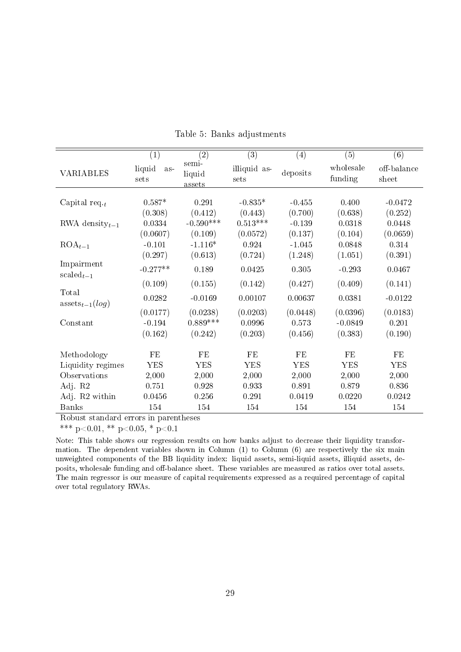|                                        | (1)                             | $\left( 2\right)$                 | $\left( 3\right)$             | (4)                          | (5)                              | (6)                          |
|----------------------------------------|---------------------------------|-----------------------------------|-------------------------------|------------------------------|----------------------------------|------------------------------|
| VARIABLES                              | liquid<br>$as-$<br>sets         | semi-<br>liquid<br>assets         | illiquid as-<br>sets          | deposits                     | wholesale<br>funding             | off-balance<br>sheet         |
| Capital req. $_t$                      | $0.587*$<br>(0.308)             | 0.291<br>(0.412)                  | $-0.835*$<br>(0.443)          | $-0.455$<br>(0.700)          | 0.400<br>(0.638)                 | $-0.0472$<br>(0.252)         |
| RWA density $_{t-1}$                   | 0.0334<br>(0.0607)              | $-0.590***$<br>(0.109)            | $0.513***$<br>(0.0572)        | $-0.139$<br>(0.137)          | 0.0318<br>(0.104)                | 0.0448<br>(0.0659)           |
| $ROA_{t-1}$                            | $-0.101$<br>(0.297)             | $-1.116*$<br>(0.613)              | 0.924<br>(0.724)              | $-1.045$<br>(1.248)          | 0.0848<br>(1.051)                | 0.314<br>(0.391)             |
| Impairment<br>$scaled_{t-1}$           | $-0.277**$                      | 0.189                             | 0.0425                        | 0.305                        | $-0.293$                         | 0.0467                       |
| Total<br>assets <sub>t-1</sub> $(log)$ | (0.109)<br>0.0282               | (0.155)<br>$-0.0169$              | (0.142)<br>0.00107            | (0.427)<br>0.00637           | (0.409)<br>0.0381                | (0.141)<br>$-0.0122$         |
| Constant                               | (0.0177)<br>$-0.194$<br>(0.162) | (0.0238)<br>$0.889***$<br>(0.242) | (0.0203)<br>0.0996<br>(0.203) | (0.0448)<br>0.573<br>(0.456) | (0.0396)<br>$-0.0849$<br>(0.383) | (0.0183)<br>0.201<br>(0.190) |
| Methodology                            | FE                              | FE                                | FE                            | FE                           | FE                               | FE                           |
| Liquidity regimes                      | YES                             | YES                               | <b>YES</b>                    | <b>YES</b>                   | <b>YES</b>                       | <b>YES</b>                   |
| Observations                           | 2,000                           | 2,000                             | 2,000                         | 2,000                        | 2,000                            | 2,000                        |
| Adj. R2                                | 0.751                           | 0.928                             | 0.933                         | 0.891                        | 0.879                            | 0.836                        |
| Adj. R2 within                         | 0.0456                          | 0.256                             | 0.291                         | 0.0419                       | 0.0220                           | 0.0242                       |
| <b>Banks</b>                           | 154                             | 154                               | 154                           | 154                          | 154                              | 154                          |

Table 5: Banks adjustments

Robust standard errors in parentheses

\*\*\* p<0.01, \*\* p<0.05, \* p<0.1

Note: This table shows our regression results on how banks adjust to decrease their liquidity transformation. The dependent variables shown in Column  $(1)$  to Column  $(6)$  are respectively the six main unweighted components of the BB liquidity index: liquid assets, semi-liquid assets, illiquid assets, deposits, wholesale funding and off-balance sheet. These variables are measured as ratios over total assets. The main regressor is our measure of capital requirements expressed as a required percentage of capital over total regulatory RWAs.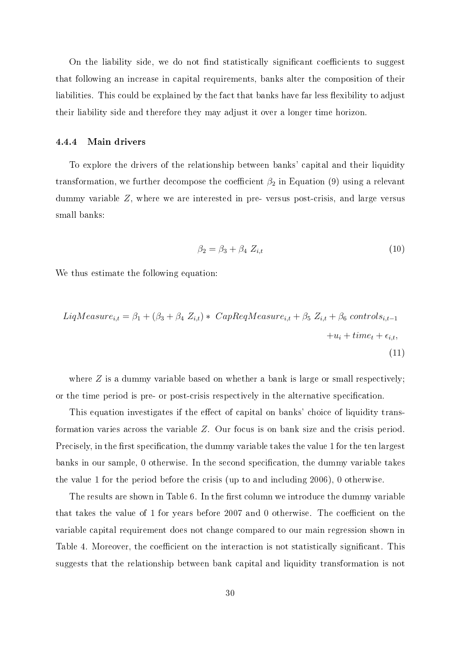On the liability side, we do not find statistically significant coefficients to suggest that following an increase in capital requirements, banks alter the composition of their liabilities. This could be explained by the fact that banks have far less flexibility to adjust their liability side and therefore they may adjust it over a longer time horizon.

#### 4.4.4 Main drivers

To explore the drivers of the relationship between banks' capital and their liquidity transformation, we further decompose the coefficient  $\beta_2$  in Equation (9) using a relevant dummy variable Z, where we are interested in pre- versus post-crisis, and large versus small banks:

$$
\beta_2 = \beta_3 + \beta_4 \ Z_{i,t} \tag{10}
$$

We thus estimate the following equation:

$$
LiqMeasure_{i,t} = \beta_1 + (\beta_3 + \beta_4 Z_{i,t}) * CapRegMeasure_{i,t} + \beta_5 Z_{i,t} + \beta_6 \text{ controls}_{i,t-1} + u_i + time_t + \epsilon_{i,t},
$$
\n
$$
(11)
$$

where  $Z$  is a dummy variable based on whether a bank is large or small respectively; or the time period is pre- or post-crisis respectively in the alternative specification.

This equation investigates if the effect of capital on banks' choice of liquidity transformation varies across the variable Z. Our focus is on bank size and the crisis period. Precisely, in the first specification, the dummy variable takes the value 1 for the ten largest banks in our sample, 0 otherwise. In the second specification, the dummy variable takes the value 1 for the period before the crisis (up to and including 2006), 0 otherwise.

The results are shown in Table 6. In the first column we introduce the dummy variable that takes the value of 1 for years before  $2007$  and 0 otherwise. The coefficient on the variable capital requirement does not change compared to our main regression shown in Table 4. Moreover, the coefficient on the interaction is not statistically significant. This suggests that the relationship between bank capital and liquidity transformation is not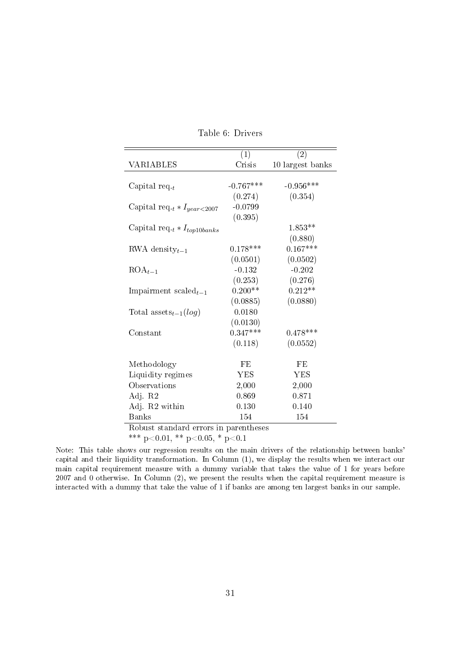|                                       | (1)         | (2)              |
|---------------------------------------|-------------|------------------|
| VARIABLES                             | Crisis      | 10 largest banks |
|                                       |             |                  |
| Capital req. $_t$                     | $-0.767***$ | $-0.956***$      |
|                                       | (0.274)     | (0.354)          |
| Capital req. $t * I_{year < 2007}$    | $-0.0799$   |                  |
|                                       | (0.395)     |                  |
| Capital req. $t * I_{top10banks}$     |             | $1.853**$        |
|                                       |             | (0.880)          |
| RWA density $_{t-1}$                  | $0.178***$  | $0.167***$       |
|                                       | (0.0501)    | (0.0502)         |
| $ROA_{t-1}$                           | $-0.132$    | $-0.202$         |
|                                       | (0.253)     | (0.276)          |
| Impairment $\mathrm{scaled}_{t-1}$    | $0.200**$   | $0.212**$        |
|                                       | (0.0885)    | (0.0880)         |
| Total assets <sub>t-1</sub> $(log)$   | 0.0180      |                  |
|                                       | (0.0130)    |                  |
| Constant                              | $0.347***$  | $0.478***$       |
|                                       | (0.118)     | (0.0552)         |
| Methodology                           | FE          | FE               |
| Liquidity regimes                     | YES         | <b>YES</b>       |
| Observations                          | 2,000       | 2,000            |
| Adj. R2                               | 0.869       | 0.871            |
| Adj. R2 within                        | 0.130       | 0.140            |
| <b>Banks</b>                          | 154         | 154              |
| Robust standard errors in parentheses |             |                  |

Table 6: Drivers

\*\*\* p<0.01, \*\* p<0.05, \* p<0.1

Note: This table shows our regression results on the main drivers of the relationship between banks' capital and their liquidity transformation. In Column (1), we display the results when we interact our main capital requirement measure with a dummy variable that takes the value of 1 for years before 2007 and 0 otherwise. In Column (2), we present the results when the capital requirement measure is interacted with a dummy that take the value of 1 if banks are among ten largest banks in our sample.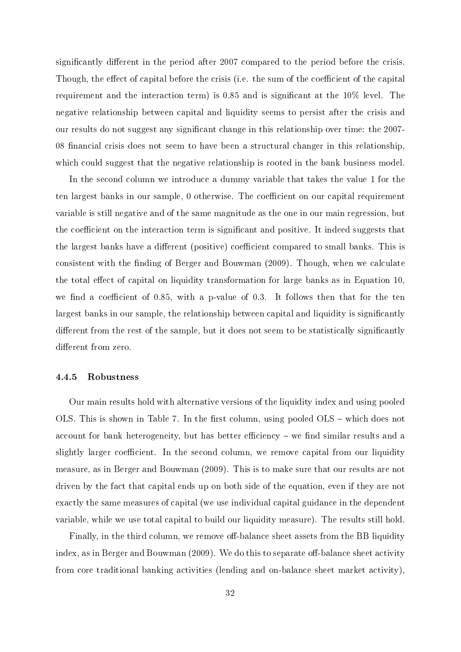significantly different in the period after 2007 compared to the period before the crisis. Though, the effect of capital before the crisis (i.e. the sum of the coefficient of the capital requirement and the interaction term) is 0.85 and is significant at the 10% level. The negative relationship between capital and liquidity seems to persist after the crisis and our results do not suggest any signicant change in this relationship over time: the 2007- 08 financial crisis does not seem to have been a structural changer in this relationship, which could suggest that the negative relationship is rooted in the bank business model.

In the second column we introduce a dummy variable that takes the value 1 for the ten largest banks in our sample, 0 otherwise. The coefficient on our capital requirement variable is still negative and of the same magnitude as the one in our main regression, but the coefficient on the interaction term is significant and positive. It indeed suggests that the largest banks have a different (positive) coefficient compared to small banks. This is consistent with the finding of Berger and Bouwman (2009). Though, when we calculate the total effect of capital on liquidity transformation for large banks as in Equation 10, we find a coefficient of 0.85, with a p-value of 0.3. It follows then that for the ten largest banks in our sample, the relationship between capital and liquidity is significantly different from the rest of the sample, but it does not seem to be statistically significantly different from zero.

#### 4.4.5 Robustness

Our main results hold with alternative versions of the liquidity index and using pooled OLS. This is shown in Table 7. In the first column, using pooled  $OLS$  – which does not account for bank heterogeneity, but has better efficiency  $-$  we find similar results and a slightly larger coefficient. In the second column, we remove capital from our liquidity measure, as in Berger and Bouwman (2009). This is to make sure that our results are not driven by the fact that capital ends up on both side of the equation, even if they are not exactly the same measures of capital (we use individual capital guidance in the dependent variable, while we use total capital to build our liquidity measure). The results still hold.

Finally, in the third column, we remove off-balance sheet assets from the BB liquidity index, as in Berger and Bouwman  $(2009)$ . We do this to separate off-balance sheet activity from core traditional banking activities (lending and on-balance sheet market activity),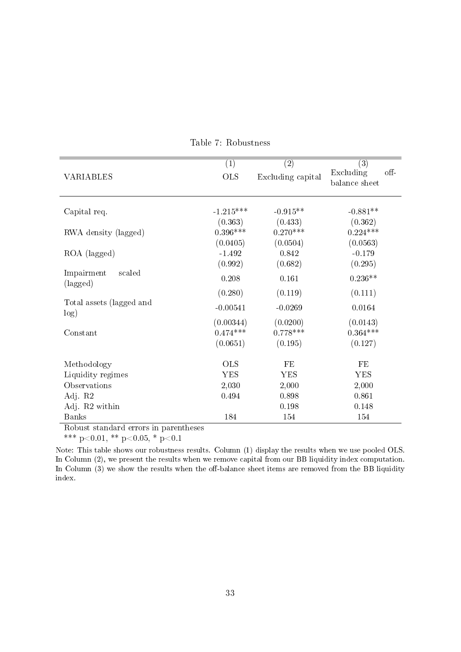| <b>VARIABLES</b>                 | (1)<br><b>OLS</b> | (2)<br>Excluding capital | (3)<br>Excluding<br>$\circ$ ff-<br>balance sheet |
|----------------------------------|-------------------|--------------------------|--------------------------------------------------|
| Capital req.                     | $-1.215***$       | $-0.915**$               | $-0.881**$                                       |
|                                  | (0.363)           | (0.433)                  | (0.362)                                          |
| RWA density (lagged)             | $0.396***$        | $0.270***$               | $0.224***$                                       |
|                                  | (0.0405)          | (0.0504)                 | (0.0563)                                         |
| ROA (lagged)                     | $-1.492$          | 0.842                    | $-0.179$                                         |
|                                  | (0.992)           | (0.682)                  | (0.295)                                          |
| Impairment<br>scaled<br>(lagged) | 0.208             | 0.161                    | $0.236**$                                        |
|                                  | (0.280)           | (0.119)                  | (0.111)                                          |
| Total assets (lagged and<br>log) | $-0.00541$        | $-0.0269$                | 0.0164                                           |
|                                  | (0.00344)         | (0.0200)                 | (0.0143)                                         |
| Constant                         | $0.474***$        | $0.778***$               | $0.364***$                                       |
|                                  | (0.0651)          | (0.195)                  | (0.127)                                          |
| Methodology                      | <b>OLS</b>        | FE                       | FE                                               |
| Liquidity regimes                | <b>YES</b>        | YES                      | <b>YES</b>                                       |
| Observations                     | 2,030             | 2,000                    | 2,000                                            |
| Adj. R2                          | 0.494             | 0.898                    | 0.861                                            |
| Adj. R2 within                   |                   | 0.198                    | 0.148                                            |
| <b>Banks</b>                     | 184               | 154                      | 154                                              |

Table 7: Robustness

Robust standard errors in parentheses

\*\*\* p<0.01, \*\* p<0.05, \* p<0.1

Note: This table shows our robustness results. Column (1) display the results when we use pooled OLS. In Column (2), we present the results when we remove capital from our BB liquidity index computation. In Column  $(3)$  we show the results when the off-balance sheet items are removed from the BB liquidity index.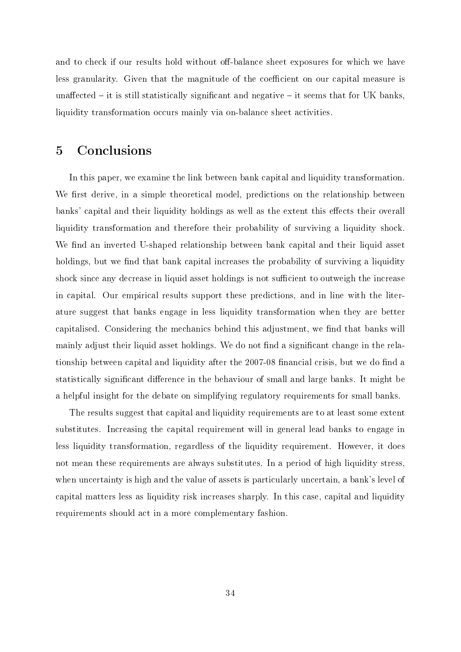and to check if our results hold without off-balance sheet exposures for which we have less granularity. Given that the magnitude of the coefficient on our capital measure is unaffected  $-$  it is still statistically significant and negative  $-$  it seems that for UK banks, liquidity transformation occurs mainly via on-balance sheet activities.

## 5 Conclusions

In this paper, we examine the link between bank capital and liquidity transformation. We first derive, in a simple theoretical model, predictions on the relationship between banks' capital and their liquidity holdings as well as the extent this effects their overall liquidity transformation and therefore their probability of surviving a liquidity shock. We find an inverted U-shaped relationship between bank capital and their liquid asset holdings, but we find that bank capital increases the probability of surviving a liquidity shock since any decrease in liquid asset holdings is not sufficient to outweigh the increase in capital. Our empirical results support these predictions, and in line with the literature suggest that banks engage in less liquidity transformation when they are better capitalised. Considering the mechanics behind this adjustment, we find that banks will mainly adjust their liquid asset holdings. We do not find a significant change in the relationship between capital and liquidity after the 2007-08 financial crisis, but we do find a statistically significant difference in the behaviour of small and large banks. It might be a helpful insight for the debate on simplifying regulatory requirements for small banks.

The results suggest that capital and liquidity requirements are to at least some extent substitutes. Increasing the capital requirement will in general lead banks to engage in less liquidity transformation, regardless of the liquidity requirement. However, it does not mean these requirements are always substitutes. In a period of high liquidity stress, when uncertainty is high and the value of assets is particularly uncertain, a bank's level of capital matters less as liquidity risk increases sharply. In this case, capital and liquidity requirements should act in a more complementary fashion.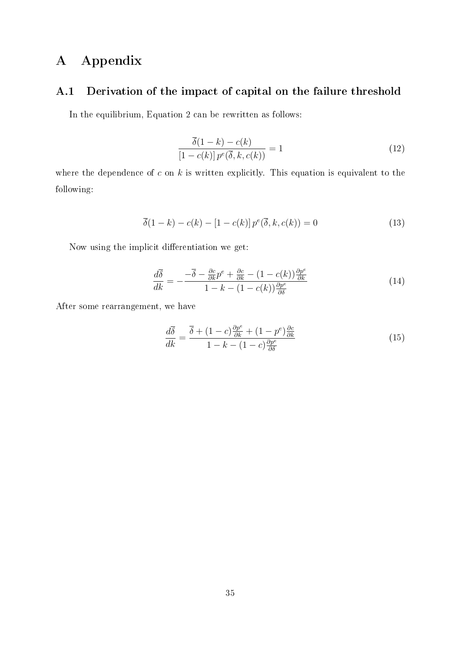## A Appendix

### A.1 Derivation of the impact of capital on the failure threshold

In the equilibrium, Equation 2 can be rewritten as follows:

$$
\frac{\overline{\delta}(1-k) - c(k)}{\left[1 - c(k)\right] p^e(\overline{\delta}, k, c(k))} = 1\tag{12}
$$

where the dependence of  $c$  on  $k$  is written explicitly. This equation is equivalent to the following:

$$
\overline{\delta}(1-k) - c(k) - [1 - c(k)] p^e(\overline{\delta}, k, c(k)) = 0
$$
\n(13)

Now using the implicit differentiation we get:

$$
\frac{d\overline{\delta}}{dk} = -\frac{-\overline{\delta} - \frac{\partial c}{\partial k}p^e + \frac{\partial c}{\partial k} - (1 - c(k))\frac{\partial p^e}{\partial k}}{1 - k - (1 - c(k))\frac{\partial p^e}{\partial \delta}}
$$
(14)

After some rearrangement, we have

$$
\frac{d\overline{\delta}}{dk} = \frac{\overline{\delta} + (1-c)\frac{\partial p^e}{\partial k} + (1-p^e)\frac{\partial c}{\partial k}}{1-k - (1-c)\frac{\partial p^e}{\partial \delta}}
$$
(15)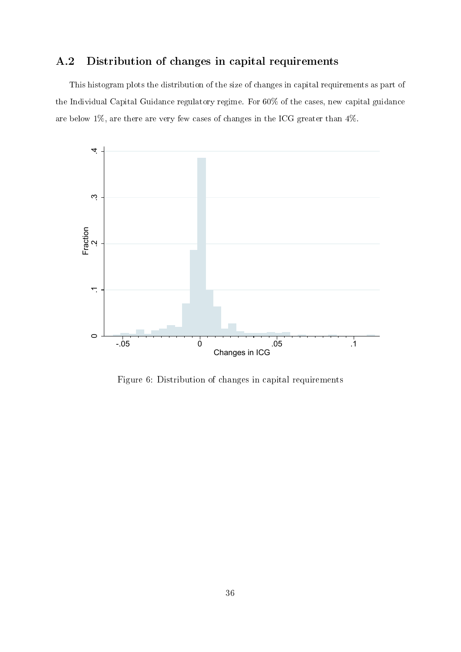## A.2 Distribution of changes in capital requirements

This histogram plots the distribution of the size of changes in capital requirements as part of the Individual Capital Guidance regulatory regime. For 60% of the cases, new capital guidance are below 1%, are there are very few cases of changes in the ICG greater than 4%.



Figure 6: Distribution of changes in capital requirements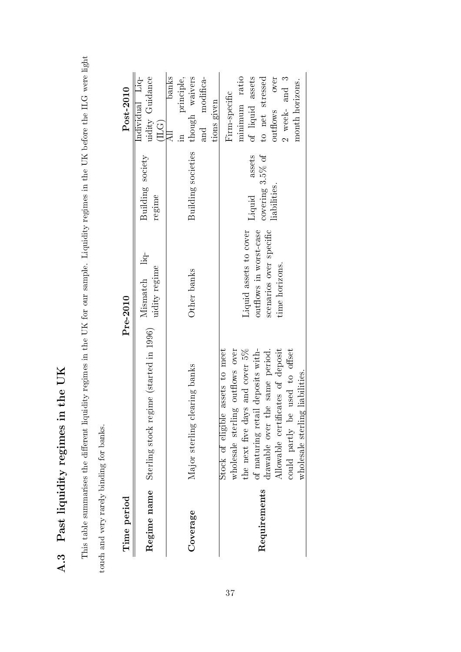A.3 Past liquidity regimes in the UK A.3 Past liquidity regimes in the UK

This table summarises the different liquidity regimes in the UK for our sample. Liquidity regimes in the UK before the ILG were light This table summarises the dierent liquidity regimes in the UK for our sample. Liquidity regimes in the UK before the ILG were light touch and very rarely binding for banks. touch and very rarely binding for banks.

| Time period  |                                                                                                                                                                                                                                                                                                | Pre-2010                                                                                              |                                                         | Post-2010                                                                                                                         |
|--------------|------------------------------------------------------------------------------------------------------------------------------------------------------------------------------------------------------------------------------------------------------------------------------------------------|-------------------------------------------------------------------------------------------------------|---------------------------------------------------------|-----------------------------------------------------------------------------------------------------------------------------------|
|              | Regime name Sterling stock regime (started in 1996)                                                                                                                                                                                                                                            | Mismatch liq-<br>$% \left\langle \left\langle \cdot ,\cdot \right\rangle \right\rangle$ uidity regime | Building society<br>regime                              | Individual Liq-<br>uidity Guidance<br>(ILG)                                                                                       |
| Coverage     | clearing banks<br>Major sterling                                                                                                                                                                                                                                                               | Other banks                                                                                           | Building societies                                      | banks<br>modifica-<br>though waivers<br>principle,<br>tions given<br>and<br>                                                      |
| Requirements | wholesale sterling outflows over<br>the next five days and cover $5\%$<br>of maturing retail deposits with-<br>Stock of eligible assets to meet<br>the same period.<br>Allowable certificates of deposit<br>could partly be used to offset<br>wholesale sterling liabilities.<br>drawable over | Liquid assets to cover<br>scenarios over specific<br>outflows in worst-case<br>time horizons.         | assets<br>covering $3.5\%$ of<br>liabilities.<br>Liquid | minimum ratio<br>of liquid assets<br>to net stressed<br>over<br>$2$ week- and $3$<br>month horizons.<br>Firm-specific<br>outflows |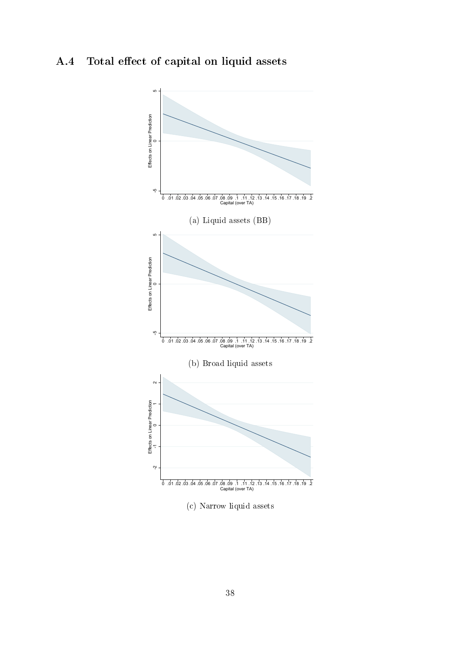## A.4 Total effect of capital on liquid assets

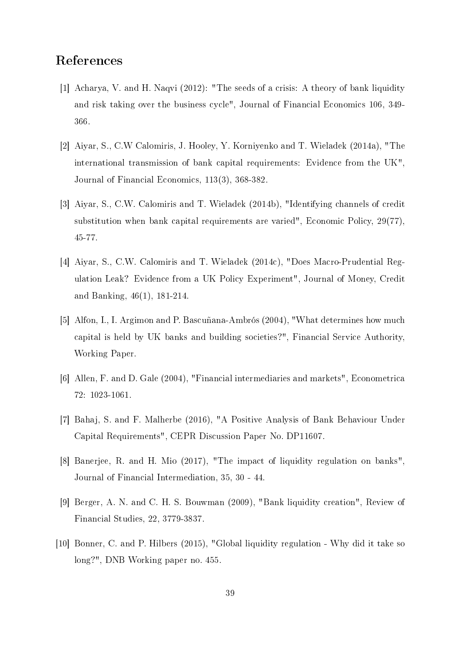## References

- [1] Acharya, V. and H. Naqvi (2012): "The seeds of a crisis: A theory of bank liquidity and risk taking over the business cycle", Journal of Financial Economics 106, 349- 366.
- [2] Aiyar, S., C.W Calomiris, J. Hooley, Y. Korniyenko and T. Wieladek (2014a), "The international transmission of bank capital requirements: Evidence from the UK", Journal of Financial Economics, 113(3), 368-382.
- [3] Aiyar, S., C.W. Calomiris and T. Wieladek (2014b), "Identifying channels of credit substitution when bank capital requirements are varied", Economic Policy, 29(77), 45-77.
- [4] Aiyar, S., C.W. Calomiris and T. Wieladek (2014c), "Does Macro-Prudential Regulation Leak? Evidence from a UK Policy Experiment", Journal of Money, Credit and Banking, 46(1), 181-214.
- [5] Alfon, I., I. Argimon and P. Bascuñana-Ambrós (2004), "What determines how much capital is held by UK banks and building societies?", Financial Service Authority, Working Paper.
- [6] Allen, F. and D. Gale (2004), "Financial intermediaries and markets", Econometrica 72: 1023-1061.
- [7] Bahaj, S. and F. Malherbe (2016), "A Positive Analysis of Bank Behaviour Under Capital Requirements", CEPR Discussion Paper No. DP11607.
- [8] Banerjee, R. and H. Mio (2017), "The impact of liquidity regulation on banks", Journal of Financial Intermediation, 35, 30 - 44.
- [9] Berger, A. N. and C. H. S. Bouwman (2009), "Bank liquidity creation", Review of Financial Studies, 22, 3779-3837.
- [10] Bonner, C. and P. Hilbers (2015), "Global liquidity regulation Why did it take so long?", DNB Working paper no. 455.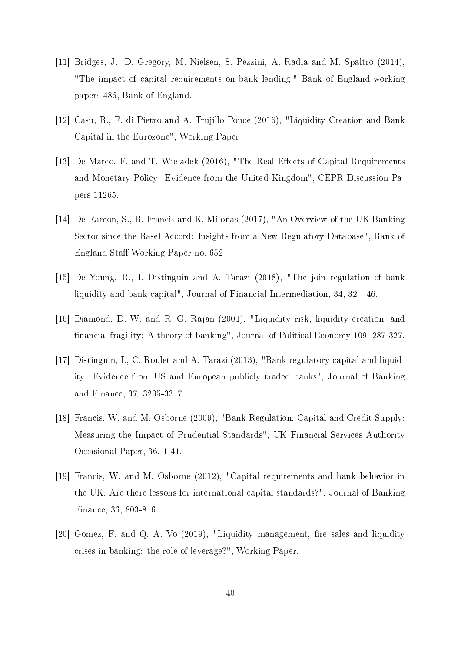- [11] Bridges, J., D. Gregory, M. Nielsen, S. Pezzini, A. Radia and M. Spaltro (2014), "The impact of capital requirements on bank lending," Bank of England working papers 486, Bank of England.
- [12] Casu, B., F. di Pietro and A. Trujillo-Ponce (2016), "Liquidity Creation and Bank Capital in the Eurozone", Working Paper
- [13] De Marco, F. and T. Wieladek (2016), "The Real Effects of Capital Requirements and Monetary Policy: Evidence from the United Kingdom", CEPR Discussion Papers 11265.
- [14] De-Ramon, S., B. Francis and K. Milonas (2017), "An Overview of the UK Banking Sector since the Basel Accord: Insights from a New Regulatory Database", Bank of England Staff Working Paper no. 652
- [15] De Young, R., I. Distinguin and A. Tarazi (2018), "The join regulation of bank liquidity and bank capital", Journal of Financial Intermediation, 34, 32 - 46.
- [16] Diamond, D. W. and R. G. Rajan (2001), "Liquidity risk, liquidity creation, and nancial fragility: A theory of banking", Journal of Political Economy 109, 287-327.
- [17] Distinguin, I., C. Roulet and A. Tarazi (2013), "Bank regulatory capital and liquidity: Evidence from US and European publicly traded banks", Journal of Banking and Finance, 37, 3295-3317.
- [18] Francis, W. and M. Osborne (2009), "Bank Regulation, Capital and Credit Supply: Measuring the Impact of Prudential Standards", UK Financial Services Authority Occasional Paper, 36, 1-41.
- [19] Francis, W. and M. Osborne (2012), "Capital requirements and bank behavior in the UK: Are there lessons for international capital standards?", Journal of Banking Finance, 36, 803-816
- [20] Gomez, F. and Q. A. Vo  $(2019)$ , "Liquidity management, fire sales and liquidity crises in banking: the role of leverage?", Working Paper.